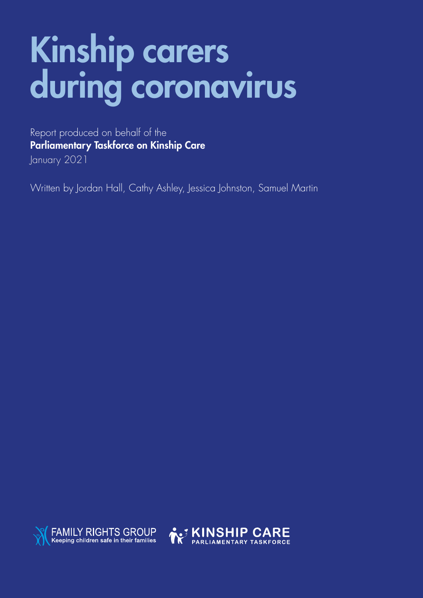# Kinship carers during coronavirus

Report produced on behalf of the Parliamentary Taskforce on Kinship Care January 2021

Written by Jordan Hall, Cathy Ashley, Jessica Johnston, Samuel Martin



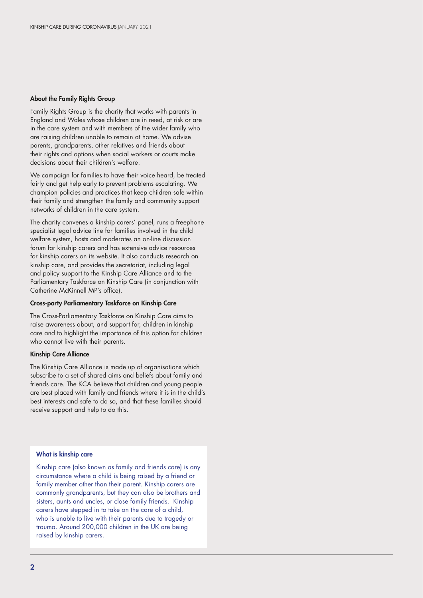#### About the Family Rights Group

Family Rights Group is the charity that works with parents in England and Wales whose children are in need, at risk or are in the care system and with members of the wider family who are raising children unable to remain at home. We advise parents, grandparents, other relatives and friends about their rights and options when social workers or courts make decisions about their children's welfare.

We campaign for families to have their voice heard, be treated fairly and get help early to prevent problems escalating. We champion policies and practices that keep children safe within their family and strengthen the family and community support networks of children in the care system.

The charity convenes a kinship carers' panel, runs a freephone specialist legal advice line for families involved in the child welfare system, hosts and moderates an on-line discussion forum for kinship carers and has extensive advice resources for kinship carers on its website. It also conducts research on kinship care, and provides the secretariat, including legal and policy support to the Kinship Care Alliance and to the Parliamentary Taskforce on Kinship Care (in conjunction with Catherine McKinnell MP's office).

#### Cross-party Parliamentary Taskforce on Kinship Care

The Cross-Parliamentary Taskforce on Kinship Care aims to raise awareness about, and support for, children in kinship care and to highlight the importance of this option for children who cannot live with their parents.

#### Kinship Care Alliance

The Kinship Care Alliance is made up of organisations which subscribe to a set of shared aims and beliefs about family and friends care. The KCA believe that children and young people are best placed with family and friends where it is in the child's best interests and safe to do so, and that these families should receive support and help to do this.

#### What is kinship care

Kinship care (also known as family and friends care) is any circumstance where a child is being raised by a friend or family member other than their parent. Kinship carers are commonly grandparents, but they can also be brothers and sisters, aunts and uncles, or close family friends. Kinship carers have stepped in to take on the care of a child, who is unable to live with their parents due to tragedy or trauma. Around 200,000 children in the UK are being raised by kinship carers.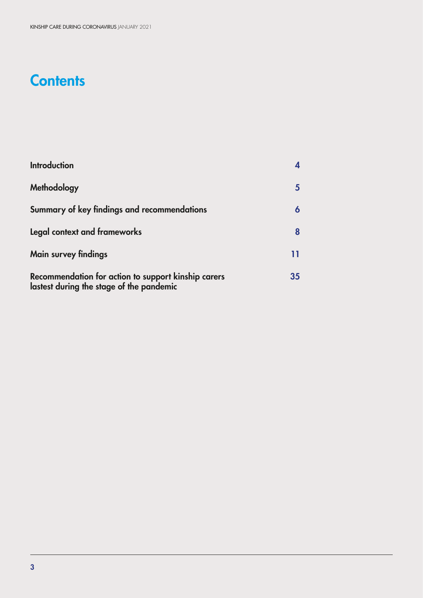# **Contents**

| <b>Introduction</b>                                                                             |    |
|-------------------------------------------------------------------------------------------------|----|
| Methodology                                                                                     |    |
| Summary of key findings and recommendations                                                     |    |
| Legal context and frameworks                                                                    | 8  |
| <b>Main survey findings</b>                                                                     | 11 |
| Recommendation for action to support kinship carers<br>lastest during the stage of the pandemic | 35 |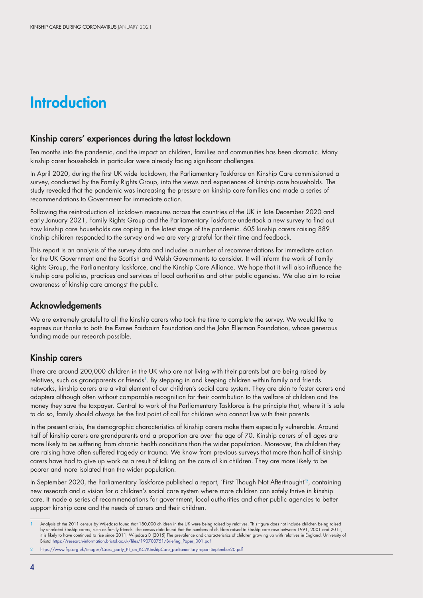# **Introduction**

#### Kinship carers' experiences during the latest lockdown

Ten months into the pandemic, and the impact on children, families and communities has been dramatic. Many kinship carer households in particular were already facing significant challenges.

In April 2020, during the first UK wide lockdown, the Parliamentary Taskforce on Kinship Care commissioned a survey, conducted by the Family Rights Group, into the views and experiences of kinship care households. The study revealed that the pandemic was increasing the pressure on kinship care families and made a series of recommendations to Government for immediate action.

Following the reintroduction of lockdown measures across the countries of the UK in late December 2020 and early January 2021, Family Rights Group and the Parliamentary Taskforce undertook a new survey to find out how kinship care households are coping in the latest stage of the pandemic. 605 kinship carers raising 889 kinship children responded to the survey and we are very grateful for their time and feedback.

This report is an analysis of the survey data and includes a number of recommendations for immediate action for the UK Government and the Scottish and Welsh Governments to consider. It will inform the work of Family Rights Group, the Parliamentary Taskforce, and the Kinship Care Alliance. We hope that it will also influence the kinship care policies, practices and services of local authorities and other public agencies. We also aim to raise awareness of kinship care amongst the public.

### Acknowledgements

We are extremely grateful to all the kinship carers who took the time to complete the survey. We would like to express our thanks to both the Esmee Fairbairn Foundation and the John Ellerman Foundation, whose generous funding made our research possible.

### Kinship carers

There are around 200,000 children in the UK who are not living with their parents but are being raised by relatives, such as grandparents or friends<sup>1</sup>. By stepping in and keeping children within family and friends networks, kinship carers are a vital element of our children's social care system. They are akin to foster carers and adopters although often without comparable recognition for their contribution to the welfare of children and the money they save the taxpayer. Central to work of the Parliamentary Taskforce is the principle that, where it is safe to do so, family should always be the first point of call for children who cannot live with their parents.

In the present crisis, the demographic characteristics of kinship carers make them especially vulnerable. Around half of kinship carers are grandparents and a proportion are over the age of 70. Kinship carers of all ages are more likely to be suffering from chronic health conditions than the wider population. Moreover, the children they are raising have often suffered tragedy or trauma. We know from previous surveys that more than half of kinship carers have had to give up work as a result of taking on the care of kin children. They are more likely to be poorer and more isolated than the wider population.

In September 2020, the Parliamentary Taskforce published a report, 'First Though Not Afterthought'<sup>2</sup>, containing new research and a vision for a children's social care system where more children can safely thrive in kinship care. It made a series of recommendations for government, local authorities and other public agencies to better support kinship care and the needs of carers and their children.

Analysis of the 2011 census by Wijedasa found that 180,000 children in the UK were being raised by relatives. This figure does not include children being raised by unrelated kinship carers, such as family friends. The census data found that the numbers of children raised in kinship care rose between 1991, 2001 and 2011, it is likely to have continued to rise since 2011. Wijedasa D (2015) The prevalence and characteristics of children growing up with relatives in England. University of Bristol https://research-information.bristol.ac.uk/files/190703751/Briefing\_Paper\_001.pdf

<sup>2</sup> https://www.frg.org.uk/images/Cross\_party\_PT\_on\_KC/KinshipCare\_parliamentary-report-September20.pdf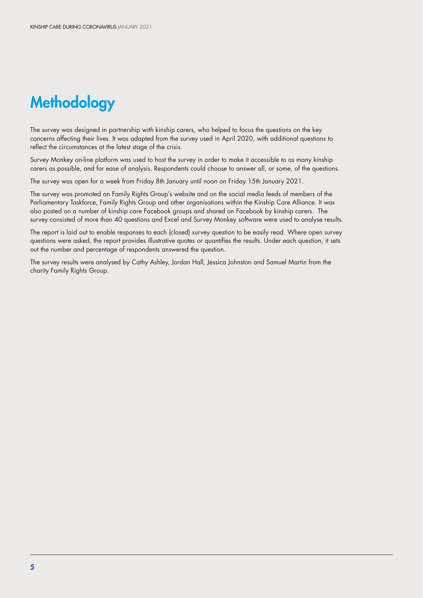# **Methodology**

The survey was designed in partnership with kinship carers, who helped to focus the questions on the key concerns affecting their lives. It was adapted from the survey used in April 2020, with additional questions to reflect the circumstances at the latest stage of the crisis.

Survey Monkey on-line platform was used to host the survey in order to make it accessible to as many kinship carers as possible, and for ease of analysis. Respondents could choose to answer all, or some, of the questions.

The survey was open for a week from Friday 8th January until noon on Friday 15th January 2021.

The survey was promoted on Family Rights Group's website and on the social media feeds of members of the Parliamentary Taskforce, Family Rights Group and other organisations within the Kinship Care Alliance. It was also posted on a number of kinship care Facebook groups and shared on Facebook by kinship carers. The survey consisted of more than 40 questions and Excel and Survey Monkey software were used to analyse results.

The report is laid out to enable responses to each (closed) survey question to be easily read. Where open survey questions were asked, the report provides illustrative quotes or quantifies the results. Under each question, it sets out the number and percentage of respondents answered the question.

The survey results were analysed by Cathy Ashley, Jordan Hall, Jessica Johnston and Samuel Martin from the charity Family Rights Group.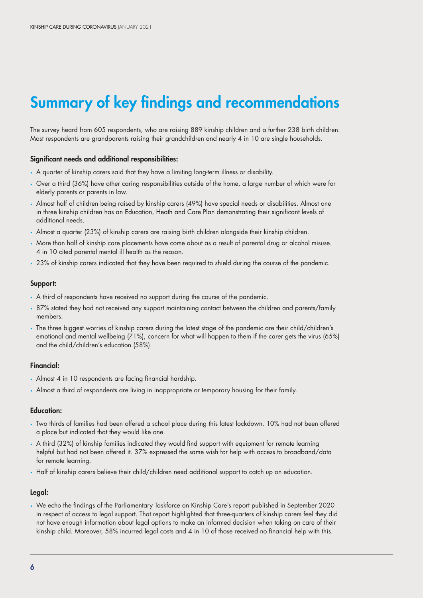# Summary of key findings and recommendations

The survey heard from 605 respondents, who are raising 889 kinship children and a further 238 birth children. Most respondents are grandparents raising their grandchildren and nearly 4 in 10 are single households.

#### Significant needs and additional responsibilities:

- A quarter of kinship carers said that they have a limiting long-term illness or disability.
- Over a third (36%) have other caring responsibilities outside of the home, a large number of which were for elderly parents or parents in law.
- Almost half of children being raised by kinship carers (49%) have special needs or disabilities. Almost one in three kinship children has an Education, Heath and Care Plan demonstrating their significant levels of additional needs.
- Almost a quarter (23%) of kinship carers are raising birth children alongside their kinship children.
- More than half of kinship care placements have come about as a result of parental drug or alcohol misuse. 4 in 10 cited parental mental ill health as the reason.
- 23% of kinship carers indicated that they have been required to shield during the course of the pandemic.

#### Support:

- A third of respondents have received no support during the course of the pandemic.
- 87% stated they had not received any support maintaining contact between the children and parents/family members.
- The three biggest worries of kinship carers during the latest stage of the pandemic are their child/children's emotional and mental wellbeing (71%), concern for what will happen to them if the carer gets the virus (65%) and the child/children's education (58%).

#### Financial:

- Almost 4 in 10 respondents are facing financial hardship.
- Almost a third of respondents are living in inappropriate or temporary housing for their family.

#### Education:

- Two thirds of families had been offered a school place during this latest lockdown. 10% had not been offered a place but indicated that they would like one.
- A third (32%) of kinship families indicated they would find support with equipment for remote learning helpful but had not been offered it. 37% expressed the same wish for help with access to broadband/data for remote learning.
- Half of kinship carers believe their child/children need additional support to catch up on education.

#### Legal:

• We echo the findings of the Parliamentary Taskforce on Kinship Care's report published in September 2020 in respect of access to legal support. That report highlighted that three-quarters of kinship carers feel they did not have enough information about legal options to make an informed decision when taking on care of their kinship child. Moreover, 58% incurred legal costs and 4 in 10 of those received no financial help with this.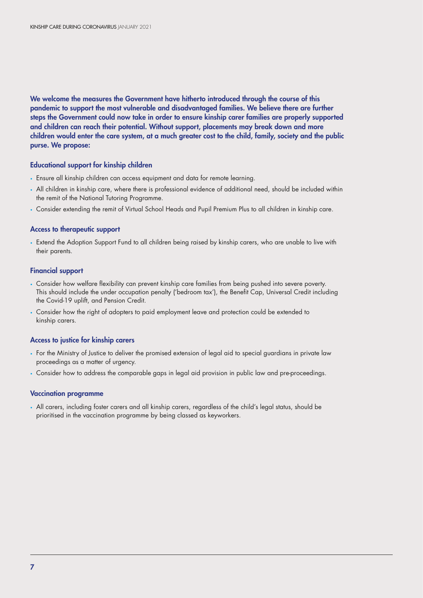We welcome the measures the Government have hitherto introduced through the course of this pandemic to support the most vulnerable and disadvantaged families. We believe there are further steps the Government could now take in order to ensure kinship carer families are properly supported and children can reach their potential. Without support, placements may break down and more children would enter the care system, at a much greater cost to the child, family, society and the public purse. We propose:

#### Educational support for kinship children

- Ensure all kinship children can access equipment and data for remote learning.
- All children in kinship care, where there is professional evidence of additional need, should be included within the remit of the National Tutoring Programme.
- Consider extending the remit of Virtual School Heads and Pupil Premium Plus to all children in kinship care.

#### Access to therapeutic support

• Extend the Adoption Support Fund to all children being raised by kinship carers, who are unable to live with their parents.

#### Financial support

- Consider how welfare flexibility can prevent kinship care families from being pushed into severe poverty. This should include the under occupation penalty ('bedroom tax'), the Benefit Cap, Universal Credit including the Covid-19 uplift, and Pension Credit.
- Consider how the right of adopters to paid employment leave and protection could be extended to kinship carers.

#### Access to justice for kinship carers

- For the Ministry of Justice to deliver the promised extension of legal aid to special guardians in private law proceedings as a matter of urgency.
- Consider how to address the comparable gaps in legal aid provision in public law and pre-proceedings.

#### Vaccination programme

• All carers, including foster carers and all kinship carers, regardless of the child's legal status, should be prioritised in the vaccination programme by being classed as keyworkers.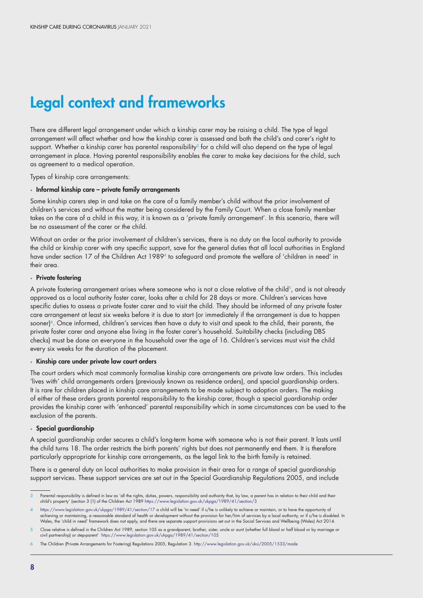# Legal context and frameworks

There are different legal arrangement under which a kinship carer may be raising a child. The type of legal arrangement will affect whether and how the kinship carer is assessed and both the child's and carer's right to support. Whether a kinship carer has parental responsibility<sup>3</sup> for a child will also depend on the type of legal arrangement in place. Having parental responsibility enables the carer to make key decisions for the child, such as agreement to a medical operation.

Types of kinship care arrangements:

#### • Informal kinship care – private family arrangements

Some kinship carers step in and take on the care of a family member's child without the prior involvement of children's services and without the matter being considered by the Family Court. When a close family member takes on the care of a child in this way, it is known as a 'private family arrangement'. In this scenario, there will be no assessment of the carer or the child.

Without an order or the prior involvement of children's services, there is no duty on the local authority to provide the child or kinship carer with any specific support, save for the general duties that all local authorities in England have under section 17 of the Children Act 1989<sup>4</sup> to safeguard and promote the welfare of 'children in need' in their area.

#### • Private fostering

A private fostering arrangement arises where someone who is not a close relative of the child<sup>5</sup>, and is not already approved as a local authority foster carer, looks after a child for 28 days or more. Children's services have specific duties to assess a private foster carer and to visit the child. They should be informed of any private foster care arrangement at least six weeks before it is due to start (or immediately if the arrangement is due to happen sooner)<sup>6</sup>. Once informed, children's services then have a duty to visit and speak to the child, their parents, the private foster carer and anyone else living in the foster carer's household. Suitability checks (including DBS checks) must be done on everyone in the household over the age of 16. Children's services must visit the child every six weeks for the duration of the placement.

#### • Kinship care under private law court orders

The court orders which most commonly formalise kinship care arrangements are private law orders. This includes 'lives with' child arrangements orders (previously known as residence orders), and special guardianship orders. It is rare for children placed in kinship care arrangements to be made subject to adoption orders. The making of either of these orders grants parental responsibility to the kinship carer, though a special guardianship order provides the kinship carer with 'enhanced' parental responsibility which in some circumstances can be used to the exclusion of the parents.

#### • Special guardianship

A special guardianship order secures a child's long-term home with someone who is not their parent. It lasts until the child turns 18. The order restricts the birth parents' rights but does not permanently end them. It is therefore particularly appropriate for kinship care arrangements, as the legal link to the birth family is retained.

There is a general duty on local authorities to make provision in their area for a range of special guardianship support services. These support services are set out in the Special Guardianship Regulations 2005, and include

Parental responsibility is defined in law as 'all the rights, duties, powers, responsibility and authority that, by law, a parent has in relation to their child and their child and their (hild's property' (section 3 (1) of

<sup>4</sup> <https://www.legislation.gov.uk/ukpga/1989/41/section/17> a child will be 'in need' if s/he is unlikely to achieve or maintain, or to have the opportunity of achieving or maintaining, a reasonable standard of health or development without the provision for her/him of services by a local authority, or if s/he is disabled. In Wales, the 'child in need' framework does not apply, and there are separate support provisions set out in the Social Services and Wellbeing (Wales) Act 2014.

<sup>5</sup> Close relative is defined in the Children Act 1989, section 105 as a grandparent, brother, sister, uncle or aunt (whether full blood or half blood or by marriage or civil partnership) or step-parent' https://www.legislation.gov.uk/ukpga/1989/41/section/105

<sup>6</sup> The Children (Private Arrangements for Fostering) Regulations 2005, Regulation 3. http://www.legislation.gov.uk/uksi/2005/1533/made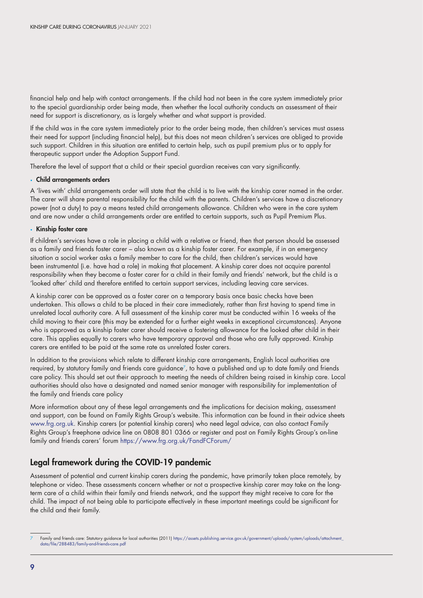financial help and help with contact arrangements. If the child had not been in the care system immediately prior to the special guardianship order being made, then whether the local authority conducts an assessment of their need for support is discretionary, as is largely whether and what support is provided.

If the child was in the care system immediately prior to the order being made, then children's services must assess their need for support (including financial help), but this does not mean children's services are obliged to provide such support. Children in this situation are entitled to certain help, such as pupil premium plus or to apply for therapeutic support under the Adoption Support Fund.

Therefore the level of support that a child or their special guardian receives can vary significantly.

#### • Child arrangements orders

A 'lives with' child arrangements order will state that the child is to live with the kinship carer named in the order. The carer will share parental responsibility for the child with the parents. Children's services have a discretionary power (not a duty) to pay a means tested child arrangements allowance. Children who were in the care system and are now under a child arrangements order are entitled to certain supports, such as Pupil Premium Plus.

#### • Kinship foster care

If children's services have a role in placing a child with a relative or friend, then that person should be assessed as a family and friends foster carer – also known as a kinship foster carer. For example, if in an emergency situation a social worker asks a family member to care for the child, then children's services would have been instrumental (i.e. have had a role) in making that placement. A kinship carer does not acquire parental responsibility when they become a foster carer for a child in their family and friends' network, but the child is a 'looked after' child and therefore entitled to certain support services, including leaving care services.

A kinship carer can be approved as a foster carer on a temporary basis once basic checks have been undertaken. This allows a child to be placed in their care immediately, rather than first having to spend time in unrelated local authority care. A full assessment of the kinship carer must be conducted within 16 weeks of the child moving to their care (this may be extended for a further eight weeks in exceptional circumstances). Anyone who is approved as a kinship foster carer should receive a fostering allowance for the looked after child in their care. This applies equally to carers who have temporary approval and those who are fully approved. Kinship carers are entitled to be paid at the same rate as unrelated foster carers.

In addition to the provisions which relate to different kinship care arrangements, English local authorities are required, by statutory family and friends care guidance<sup>7</sup>, to have a published and up to date family and friends care policy. This should set out their approach to meeting the needs of children being raised in kinship care. Local authorities should also have a designated and named senior manager with responsibility for implementation of the family and friends care policy

More information about any of these legal arrangements and the implications for decision making, assessment and support, can be found on Family Rights Group's website. This information can be found in their advice sheets [www.frg.org.uk.](http://www.frg.org.uk) Kinship carers (or potential kinship carers) who need legal advice, can also contact Family Rights Group's freephone advice line on 0808 801 0366 or register and post on Family Rights Group's on-line family and friends carers' forum<https://www.frg.org.uk/FandFCForum/>

# Legal framework during the COVID-19 pandemic

Assessment of potential and current kinship carers during the pandemic, have primarily taken place remotely, by telephone or video. These assessments concern whether or not a prospective kinship carer may take on the longterm care of a child within their family and friends network, and the support they might receive to care for the child. The impact of not being able to participate effectively in these important meetings could be significant for the child and their family.

Family and friends care: Statutory guidance for local authorities (2011) https://assets.publishing.service.gov.uk/government/uploads/system/uploads/attachment\_ data/file/288483/family-and-friends-care.pdf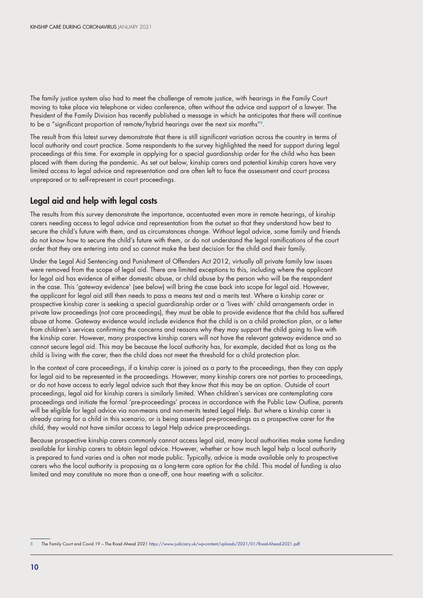The family justice system also had to meet the challenge of remote justice, with hearings in the Family Court moving to take place via telephone or video conference, often without the advice and support of a lawyer. The President of the Family Division has recently published a message in which he anticipates that there will continue to be a "significant proportion of remote/hybrid hearings over the next six months"8.

The result from this latest survey demonstrate that there is still significant variation across the country in terms of local authority and court practice. Some respondents to the survey highlighted the need for support during legal proceedings at this time. For example in applying for a special guardianship order for the child who has been placed with them during the pandemic. As set out below, kinship carers and potential kinship carers have very limited access to legal advice and representation and are often left to face the assessment and court process unprepared or to self-represent in court proceedings.

# Legal aid and help with legal costs

The results from this survey demonstrate the importance, accentuated even more in remote hearings, of kinship carers needing access to legal advice and representation from the outset so that they understand how best to secure the child's future with them, and as circumstances change. Without legal advice, some family and friends do not know how to secure the child's future with them, or do not understand the legal ramifications of the court order that they are entering into and so cannot make the best decision for the child and their family.

Under the Legal Aid Sentencing and Punishment of Offenders Act 2012, virtually all private family law issues were removed from the scope of legal aid. There are limited exceptions to this, including where the applicant for legal aid has evidence of either domestic abuse, or child abuse by the person who will be the respondent in the case. This 'gateway evidence' (see below) will bring the case back into scope for legal aid. However, the applicant for legal aid still then needs to pass a means test and a merits test. Where a kinship carer or prospective kinship carer is seeking a special guardianship order or a 'lives with' child arrangements order in private law proceedings (not care proceedings), they must be able to provide evidence that the child has suffered abuse at home. Gateway evidence would include evidence that the child is on a child protection plan, or a letter from children's services confirming the concerns and reasons why they may support the child going to live with the kinship carer. However, many prospective kinship carers will not have the relevant gateway evidence and so cannot secure legal aid. This may be because the local authority has, for example, decided that as long as the child is living with the carer, then the child does not meet the threshold for a child protection plan.

In the context of care proceedings, if a kinship carer is joined as a party to the proceedings, then they can apply for legal aid to be represented in the proceedings. However, many kinship carers are not parties to proceedings, or do not have access to early legal advice such that they know that this may be an option. Outside of court proceedings, legal aid for kinship carers is similarly limited. When children's services are contemplating care proceedings and initiate the formal 'pre-proceedings' process in accordance with the Public Law Outline, parents will be eligible for legal advice via non-means and non-merits tested Legal Help. But where a kinship carer is already caring for a child in this scenario, or is being assessed pre-proceedings as a prospective carer for the child, they would not have similar access to Legal Help advice pre-proceedings.

Because prospective kinship carers commonly cannot access legal aid, many local authorities make some funding available for kinship carers to obtain legal advice. However, whether or how much legal help a local authority is prepared to fund varies and is often not made public. Typically, advice is made available only to prospective carers who the local authority is proposing as a long-term care option for the child. This model of funding is also limited and may constitute no more than a one-off, one hour meeting with a solicitor.

<sup>8</sup> The Family Court and Covid 19 – The Road Ahead 2021 <https://www.judiciary.uk/wp-content/uploads/2021/01/Road-Ahead-2021.pdf>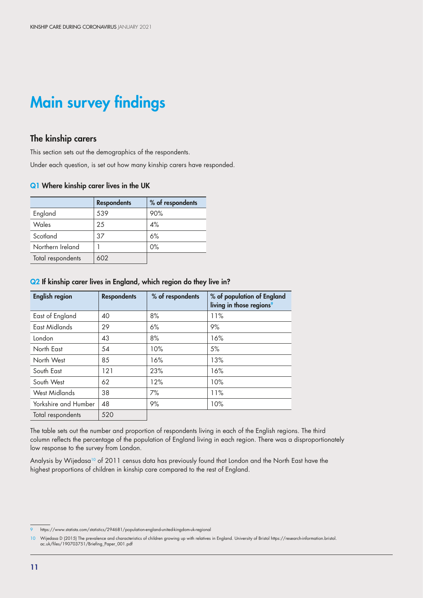# Main survey findings

## The kinship carers

This section sets out the demographics of the respondents.

Under each question, is set out how many kinship carers have responded.

#### Q1 Where kinship carer lives in the UK

|                   | <b>Respondents</b> | % of respondents |
|-------------------|--------------------|------------------|
| England           | 539                | 90%              |
| Wales             | 25                 | 4%               |
| Scotland          | 37                 | 6%               |
| Northern Ireland  |                    | $0\%$            |
| Total respondents | 602                |                  |

#### Q2 If kinship carer lives in England, which region do they live in?

| <b>English region</b> | <b>Respondents</b> | % of respondents | % of population of England<br>living in those regions <sup>9</sup> |
|-----------------------|--------------------|------------------|--------------------------------------------------------------------|
| East of England       | 40                 | 8%               | 11%                                                                |
| East Midlands         | 29                 | 6%               | 9%                                                                 |
| London                | 43                 | 8%               | 16%                                                                |
| North East            | 54                 | 10%              | 5%                                                                 |
| North West            | 85                 | 16%              | 13%                                                                |
| South East            | 121                | 23%              | 16%                                                                |
| South West            | 62                 | 12%              | 10%                                                                |
| <b>West Midlands</b>  | 38                 | 7%               | 11%                                                                |
| Yorkshire and Humber  | 48                 | 9%               | 10%                                                                |
| Total respondents     | 520                |                  |                                                                    |

The table sets out the number and proportion of respondents living in each of the English regions. The third column reflects the percentage of the population of England living in each region. There was a disproportionately low response to the survey from London.

Analysis by Wijedasa<sup>10</sup> of 2011 census data has previously found that London and the North East have the highest proportions of children in kinship care compared to the rest of England.

<sup>9</sup> https://www.statista.com/statistics/294681/population-england-united-kingdom-uk-regional

<sup>10</sup> Wijedasa D (2015) The prevalence and characteristics of children growing up with relatives in England. University of Bristol https://research-information.bristol. ac.uk/files/190703751/Briefing\_Paper\_001.pdf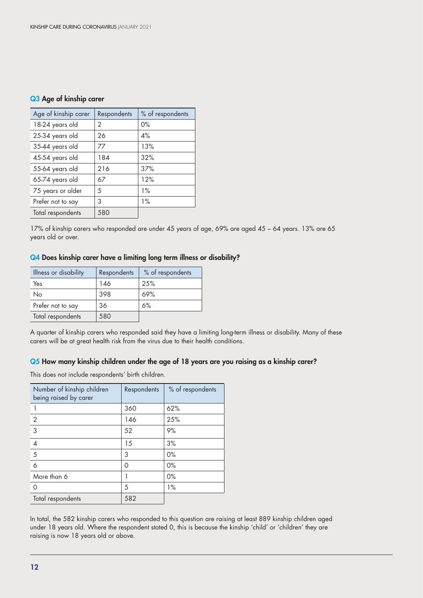#### Q3 Age of kinship carer

| Age of kinship carer | Respondents   | % of respondents |
|----------------------|---------------|------------------|
| 18-24 years old      | $\mathcal{P}$ | 0%               |
| 25-34 years old      | 26            | $4\%$            |
| 35-44 years old      | 77            | 13%              |
| 45-54 years old      | 184           | 32%              |
| 55-64 years old      | 216           | 37%              |
| 65-74 years old      | 67            | 12%              |
| 75 years or older    | 5             | $1\%$            |
| Prefer not to say    | 3             | $1\%$            |
| Total respondents    | 580           |                  |

17% of kinship carers who responded are under 45 years of age, 69% are aged 45 – 64 years. 13% are 65 years old or over.

#### Q4 Does kinship carer have a limiting long term illness or disability?

| Illness or disability | Respondents | % of respondents |
|-----------------------|-------------|------------------|
| Yes                   | 146         | 25%              |
| No                    | 398         | 69%              |
| Prefer not to say     | 36          | 6%               |
| Total respondents     | 580         |                  |

A quarter of kinship carers who responded said they have a limiting long-term illness or disability. Many of these carers will be at great health risk from the virus due to their health conditions.

#### Q5 How many kinship children under the age of 18 years are you raising as a kinship carer?

This does not include respondents' birth children.

| Number of kinship children<br>being raised by carer | Respondents | % of respondents |
|-----------------------------------------------------|-------------|------------------|
|                                                     | 360         | 62%              |
| 2                                                   | 146         | 25%              |
| 3                                                   | 52          | 9%               |
| 4                                                   | 15          | 3%               |
| 5                                                   | 3           | $0\%$            |
| 6                                                   | 0           | $0\%$            |
| More than 6                                         |             | $0\%$            |
| Ω                                                   | 5           | 1%               |
| Total respondents                                   | 582         |                  |

In total, the 582 kinship carers who responded to this question are raising at least 889 kinship children aged under 18 years old. Where the respondent stated 0, this is because the kinship 'child' or 'children' they are raising is now 18 years old or above.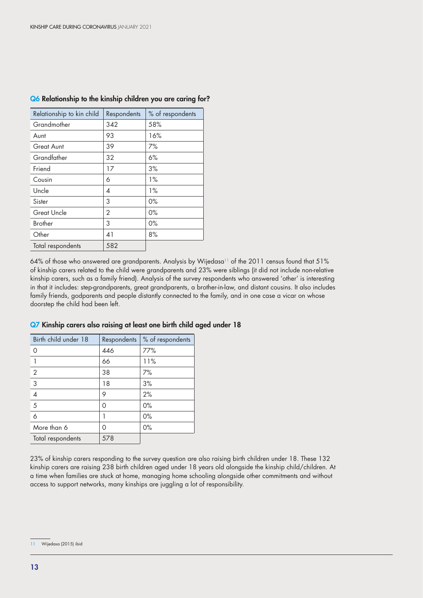| Relationship to kin child | Respondents | % of respondents |
|---------------------------|-------------|------------------|
| Grandmother               | 342         | 58%              |
| Aunt                      | 93          | 16%              |
| Great Aunt                | 39          | 7%               |
| Grandfather               | 32          | 6%               |
| Friend                    | 17          | 3%               |
| Cousin                    | 6           | $1\%$            |
| Uncle                     | 4           | $1\%$            |
| Sister                    | 3           | $0\%$            |
| <b>Great Uncle</b>        | 2           | $0\%$            |
| <b>Brother</b>            | 3           | $0\%$            |
| Other                     | 41          | 8%               |
| Total respondents         | 582         |                  |

#### Q6 Relationship to the kinship children you are caring for?

64% of those who answered are grandparents. Analysis by Wijedasa<sup>11</sup> of the 2011 census found that 51% of kinship carers related to the child were grandparents and 23% were siblings (it did not include non-relative kinship carers, such as a family friend). Analysis of the survey respondents who answered 'other' is interesting in that it includes: step-grandparents, great grandparents, a brother-in-law, and distant cousins. It also includes family friends, godparents and people distantly connected to the family, and in one case a vicar on whose doorstep the child had been left.

| Birth child under 18 | Respondents | % of respondents |
|----------------------|-------------|------------------|
| 0                    | 446         | 77%              |
|                      | 66          | 11%              |
| $\mathbf{2}$         | 38          | 7%               |
| $\overline{3}$       | 18          | 3%               |
| $\overline{4}$       | 9           | 2%               |
| 5                    | 0           | $0\%$            |
| 6                    |             | 0%               |
| More than 6          | Ω           | $0\%$            |
| Total respondents    | 578         |                  |

#### Q7 Kinship carers also raising at least one birth child aged under 18

23% of kinship carers responding to the survey question are also raising birth children under 18. These 132 kinship carers are raising 238 birth children aged under 18 years old alongside the kinship child/children. At a time when families are stuck at home, managing home schooling alongside other commitments and without access to support networks, many kinships are juggling a lot of responsibility.

<sup>11</sup> Wijedasa (2015) ibid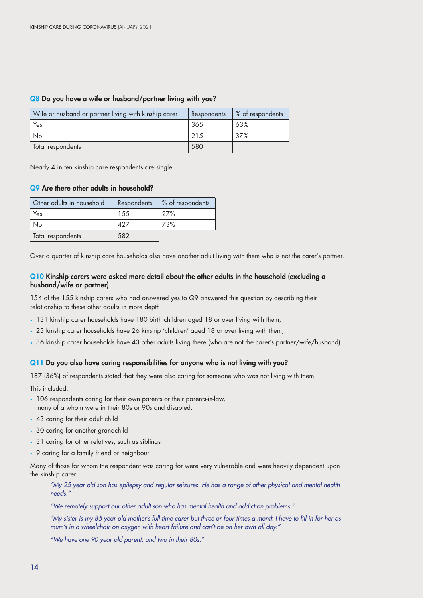| Wife or husband or partner living with kinship carer | Respondents | % of respondents |
|------------------------------------------------------|-------------|------------------|
| Yes                                                  | 365         | 63%              |
| No                                                   | 215         | 37%              |
| Total respondents                                    | 580         |                  |

#### Q8 Do you have a wife or husband/partner living with you?

Nearly 4 in ten kinship care respondents are single.

#### Q9 Are there other adults in household?

| Other adults in household | Respondents | % of respondents |
|---------------------------|-------------|------------------|
| Yes                       | 1.5.5       | 27%              |
| Νo                        | 427         | 73%              |
| Total respondents         | 582         |                  |

Over a quarter of kinship care households also have another adult living with them who is not the carer's partner.

#### Q10 Kinship carers were asked more detail about the other adults in the household (excluding a husband/wife or partner)

154 of the 155 kinship carers who had answered yes to Q9 answered this question by describing their relationship to these other adults in more depth:

- 131 kinship carer households have 180 birth children aged 18 or over living with them;
- 23 kinship carer households have 26 kinship 'children' aged 18 or over living with them;
- 36 kinship carer households have 43 other adults living there (who are not the carer's partner/wife/husband).

#### Q11 Do you also have caring responsibilities for anyone who is not living with you?

187 (36%) of respondents stated that they were also caring for someone who was not living with them.

This included:

- 106 respondents caring for their own parents or their parents-in-law, many of a whom were in their 80s or 90s and disabled.
- 43 caring for their adult child
- 30 caring for another grandchild
- 31 caring for other relatives, such as siblings
- 9 caring for a family friend or neighbour

Many of those for whom the respondent was caring for were very vulnerable and were heavily dependent upon the kinship carer.

*"My 25 year old son has epilepsy and regular seizures. He has a range of other physical and mental health needs."*

*"We remotely support our other adult son who has mental health and addiction problems."*

*"My sister is my 85 year old mother's full time carer but three or four times a month I have to fill in for her as mum's in a wheelchair on oxygen with heart failure and can't be on her own all day."*

*"We have one 90 year old parent, and two in their 80s."*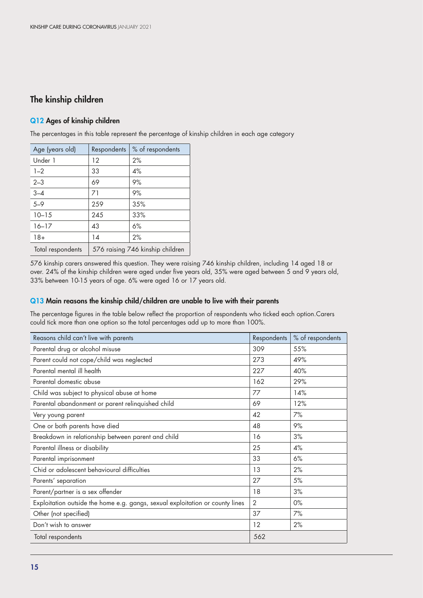# The kinship children

#### Q12 Ages of kinship children

The percentages in this table represent the percentage of kinship children in each age category

| Age (years old)   | Respondents                      | % of respondents |
|-------------------|----------------------------------|------------------|
| Under 1           | 12                               | 2%               |
| $1 - 2$           | 33                               | 4%               |
| $2 - 3$           | 69                               | 9%               |
| $3 - 4$           | 71                               | 9%               |
| $5 - 9$           | 259                              | 35%              |
| $10 - 15$         | 245                              | 33%              |
| $16 - 17$         | 43                               | 6%               |
| $18+$             | 14                               | 2%               |
| Total respondents | 576 raising 746 kinship children |                  |

576 kinship carers answered this question. They were raising 746 kinship children, including 14 aged 18 or over. 24% of the kinship children were aged under five years old, 35% were aged between 5 and 9 years old, 33% between 10-15 years of age. 6% were aged 16 or 17 years old.

#### Q13 Main reasons the kinship child/children are unable to live with their parents

The percentage figures in the table below reflect the proportion of respondents who ticked each option.Carers could tick more than one option so the total percentages add up to more than 100%.

| Reasons child can't live with parents                                         | Respondents | % of respondents |
|-------------------------------------------------------------------------------|-------------|------------------|
| Parental drug or alcohol misuse                                               | 309         | 55%              |
| Parent could not cope/child was neglected                                     | 273         | 49%              |
| Parental mental ill health                                                    | 227         | 40%              |
| Parental domestic abuse                                                       | 162         | 29%              |
| Child was subject to physical abuse at home                                   | 77          | 14%              |
| Parental abandonment or parent relinquished child                             | 69          | 12%              |
| Very young parent                                                             | 42          | 7%               |
| One or both parents have died                                                 | 48          | 9%               |
| Breakdown in relationship between parent and child                            | 16          | 3%               |
| Parental illness or disability                                                | 25          | 4%               |
| Parental imprisonment                                                         | 33          | 6%               |
| Chid or adolescent behavioural difficulties                                   | 13          | 2%               |
| Parents' separation                                                           | 27          | 5%               |
| Parent/partner is a sex offender                                              | 18          | 3%               |
| Exploitation outside the home e.g. gangs, sexual exploitation or county lines | 2           | $0\%$            |
| Other (not specified)                                                         | 37          | 7%               |
| Don't wish to answer                                                          | 12          | 2%               |
| Total respondents                                                             | 562         |                  |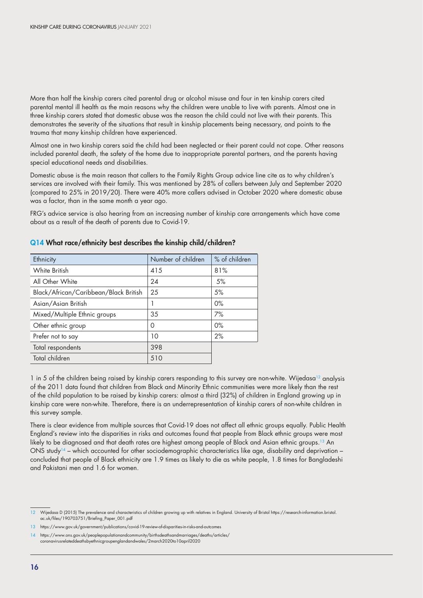More than half the kinship carers cited parental drug or alcohol misuse and four in ten kinship carers cited parental mental ill health as the main reasons why the children were unable to live with parents. Almost one in three kinship carers stated that domestic abuse was the reason the child could not live with their parents. This demonstrates the severity of the situations that result in kinship placements being necessary, and points to the trauma that many kinship children have experienced.

Almost one in two kinship carers said the child had been neglected or their parent could not cope. Other reasons included parental death, the safety of the home due to inappropriate parental partners, and the parents having special educational needs and disabilities.

Domestic abuse is the main reason that callers to the Family Rights Group advice line cite as to why children's services are involved with their family. This was mentioned by 28% of callers between July and September 2020 (compared to 25% in 2019/20). There were 40% more callers advised in October 2020 where domestic abuse was a factor, than in the same month a year ago.

FRG's advice service is also hearing from an increasing number of kinship care arrangements which have come about as a result of the death of parents due to Covid-19.

| Ethnicity                             | Number of children | % of children |
|---------------------------------------|--------------------|---------------|
| White British                         | 415                | 81%           |
| All Other White                       | 24                 | 5%            |
| Black/African/Caribbean/Black British | 25                 | 5%            |
| Asian/Asian British                   |                    | $0\%$         |
| Mixed/Multiple Ethnic groups          | 35                 | 7%            |
| Other ethnic group                    | 0                  | $0\%$         |
| Prefer not to say                     | 10                 | 2%            |
| Total respondents                     | 398                |               |
| Total children                        | 510                |               |

#### Q14 What race/ethnicity best describes the kinship child/children?

1 in 5 of the children being raised by kinship carers responding to this survey are non-white. Wijedasa<sup>12</sup> analysis of the 2011 data found that children from Black and Minority Ethnic communities were more likely than the rest of the child population to be raised by kinship carers: almost a third (32%) of children in England growing up in kinship care were non-white. Therefore, there is an underrepresentation of kinship carers of non-white children in this survey sample.

There is clear evidence from multiple sources that Covid-19 does not affect all ethnic groups equally. Public Health England's review into the disparities in risks and outcomes found that people from Black ethnic groups were most likely to be diagnosed and that death rates are highest among people of Black and Asian ethnic groups.<sup>13</sup> An ONS study<sup>14</sup> – which accounted for other sociodemographic characteristics like age, disability and deprivation – concluded that people of Black ethnicity are 1.9 times as likely to die as white people, 1.8 times for Bangladeshi and Pakistani men and 1.6 for women.

<sup>12</sup> Wijedasa D (2015) The prevalence and characteristics of children growing up with relatives in England. University of Bristol https://research-information.bristol. ac.uk/files/190703751/Briefing\_Paper\_001.pdf

<sup>13</sup> https://www.gov.uk/government/publications/covid-19-review-of-disparities-in-risks-and-outcomes

<sup>14</sup> https://www.ons.gov.uk/peoplepopulationandcommunity/birthsdeathsandmarriages/deaths/articles/ coronavirusrelateddeathsbyethnicgroupenglandandwales/2march2020to10april2020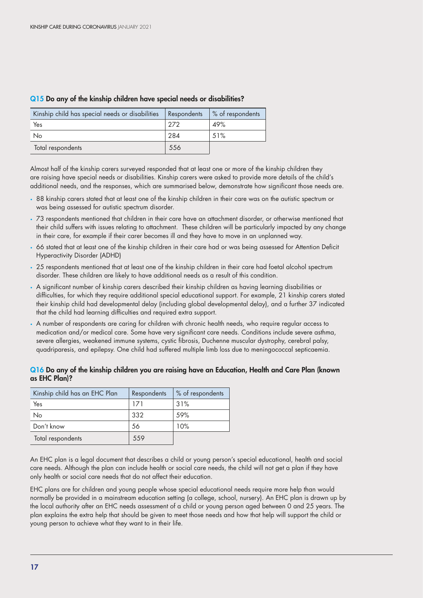| Kinship child has special needs or disabilities | Respondents | % of respondents |
|-------------------------------------------------|-------------|------------------|
| Yes                                             | 272         | 49%              |
| No                                              | 284         | 51%              |
| Total respondents                               | 556         |                  |

#### Q15 Do any of the kinship children have special needs or disabilities?

Almost half of the kinship carers surveyed responded that at least one or more of the kinship children they are raising have special needs or disabilities. Kinship carers were asked to provide more details of the child's additional needs, and the responses, which are summarised below, demonstrate how significant those needs are.

- 88 kinship carers stated that at least one of the kinship children in their care was on the autistic spectrum or was being assessed for autistic spectrum disorder.
- 73 respondents mentioned that children in their care have an attachment disorder, or otherwise mentioned that their child suffers with issues relating to attachment. These children will be particularly impacted by any change in their care, for example if their carer becomes ill and they have to move in an unplanned way.
- 66 stated that at least one of the kinship children in their care had or was being assessed for Attention Deficit Hyperactivity Disorder (ADHD)
- 25 respondents mentioned that at least one of the kinship children in their care had foetal alcohol spectrum disorder. These children are likely to have additional needs as a result of this condition.
- A significant number of kinship carers described their kinship children as having learning disabilities or difficulties, for which they require additional special educational support. For example, 21 kinship carers stated their kinship child had developmental delay (including global developmental delay), and a further 37 indicated that the child had learning difficulties and required extra support.
- A number of respondents are caring for children with chronic health needs, who require regular access to medication and/or medical care. Some have very significant care needs. Conditions include severe asthma, severe allergies, weakened immune systems, cystic fibrosis, Duchenne muscular dystrophy, cerebral palsy, quadriparesis, and epilepsy. One child had suffered multiple limb loss due to meningococcal septicaemia.

#### Q16 Do any of the kinship children you are raising have an Education, Health and Care Plan (known as EHC Plan)?

| Kinship child has an EHC Plan | Respondents | % of respondents |
|-------------------------------|-------------|------------------|
| Yes                           | 171         | 31%              |
| No                            | 332         | .59%             |
| Don't know                    | 56          | 10%              |
| Total respondents             | 559         |                  |

An EHC plan is a legal document that describes a child or young person's special educational, health and social care needs. Although the plan can include health or social care needs, the child will not get a plan if they have only health or social care needs that do not affect their education.

EHC plans are for children and young people whose special educational needs require more help than would normally be provided in a [mainstream education setting](https://contact.org.uk/advice-and-support/education-learning/extra-support-in-mainstream-schools/) (a college, school, nursery). An EHC plan is drawn up by the local authority after an [EHC needs assessment](https://contact.org.uk/advice-and-support/education-learning/ehc-plans-assessments/education-health-and-care-(ehc)-needs-assessments/) of a child or young person aged between 0 and 25 years. The plan explains the extra help that should be given to meet those needs and how that help will support the child or young person to achieve what they want to in their life.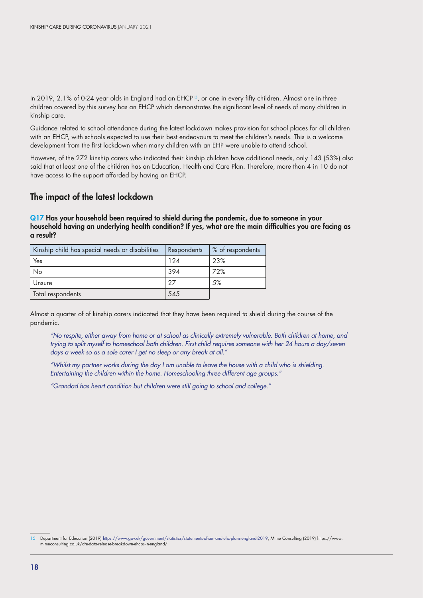In 2019, 2.1% of 0-24 year olds in England had an EHCP<sup>15</sup>, or one in every fifty children. Almost one in three children covered by this survey has an EHCP which demonstrates the significant level of needs of many children in kinship care.

Guidance related to school attendance during the latest lockdown makes provision for school places for all children with an EHCP, with schools expected to use their best endeavours to meet the children's needs. This is a welcome development from the first lockdown when many children with an EHP were unable to attend school.

However, of the 272 kinship carers who indicated their kinship children have additional needs, only 143 (53%) also said that at least one of the children has an Education, Health and Care Plan. Therefore, more than 4 in 10 do not have access to the support afforded by having an EHCP.

### The impact of the latest lockdown

Q17 Has your household been required to shield during the pandemic, due to someone in your household having an underlying health condition? If yes, what are the main difficulties you are facing as a result?

| Kinship child has special needs or disabilities | Respondents | % of respondents |
|-------------------------------------------------|-------------|------------------|
| Yes                                             | 124         | 23%              |
| No                                              | 394         | 72%              |
| Unsure                                          | 27          | 5%               |
| Total respondents                               | 545         |                  |

Almost a quarter of of kinship carers indicated that they have been required to shield during the course of the pandemic.

*"No respite, either away from home or at school as clinically extremely vulnerable. Both children at home, and trying to split myself to homeschool both children. First child requires someone with her 24 hours a day/seven days a week so as a sole carer I get no sleep or any break at all."*

*"Whilst my partner works during the day I am unable to leave the house with a child who is shielding. Entertaining the children within the home. Homeschooling three different age groups."*

*"Grandad has heart condition but children were still going to school and college."*

<sup>15</sup> Department for Education (2019) <https://www.gov.uk/government/statistics/statements-of-sen-and-ehc-plans-england-2019>; Mime Consulting (2019) https://www. mimeconsulting.co.uk/dfe-data-release-breakdown-ehcps-in-england/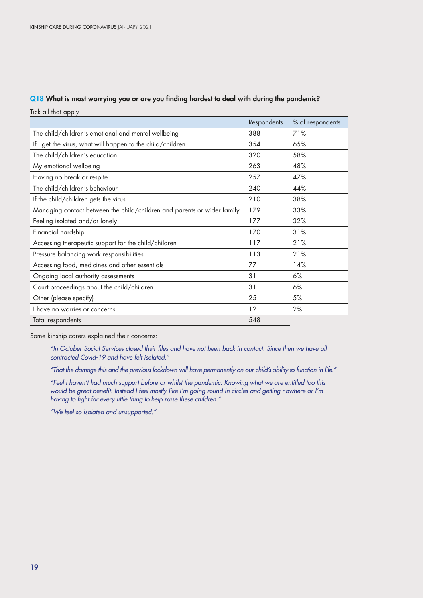#### Q18 What is most worrying you or are you finding hardest to deal with during the pandemic?

Tick all that apply

|                                                                         | Respondents | % of respondents |
|-------------------------------------------------------------------------|-------------|------------------|
| The child/children's emotional and mental wellbeing                     | 388         | 71%              |
| If I get the virus, what will happen to the child/children              | 354         | 65%              |
| The child/children's education                                          | 320         | 58%              |
| My emotional wellbeing                                                  | 263         | 48%              |
| Having no break or respite                                              | 257         | 47%              |
| The child/children's behaviour                                          | 240         | 44%              |
| If the child/children gets the virus                                    | 210         | 38%              |
| Managing contact between the child/children and parents or wider family | 179         | 33%              |
| Feeling isolated and/or lonely                                          | 177         | 32%              |
| Financial hardship                                                      | 170         | 31%              |
| Accessing therapeutic support for the child/children                    | 117         | 21%              |
| Pressure balancing work responsibilities                                | 113         | 21%              |
| Accessing food, medicines and other essentials                          | 77          | 14%              |
| Ongoing local authority assessments                                     | 31          | 6%               |
| Court proceedings about the child/children                              | 31          | 6%               |
| Other (please specify)                                                  | 25          | 5%               |
| I have no worries or concerns                                           | 12          | 2%               |
| Total respondents                                                       | 548         |                  |

Some kinship carers explained their concerns:

*"In October Social Services closed their files and have not been back in contact. Since then we have all contracted Covid-19 and have felt isolated."*

*"That the damage this and the previous lockdown will have permanently on our child's ability to function in life."*

*"Feel I haven't had much support before or whilst the pandemic. Knowing what we are entitled too this would be great benefit. Instead I feel mostly like I'm going round in circles and getting nowhere or I'm having to fight for every little thing to help raise these children."* 

*"We feel so isolated and unsupported."*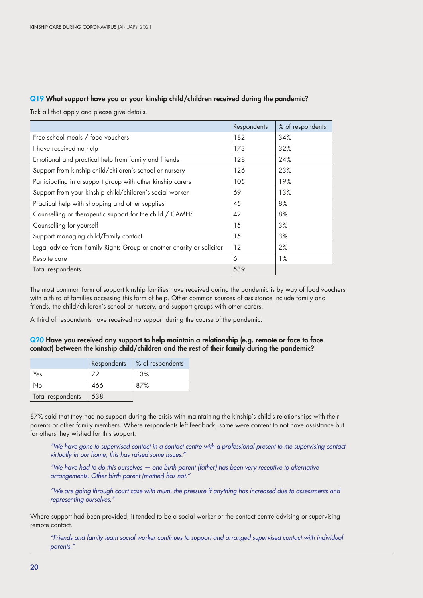### Q19 What support have you or your kinship child/children received during the pandemic?

Tick all that apply and please give details.

|                                                                       | Respondents | % of respondents |
|-----------------------------------------------------------------------|-------------|------------------|
| Free school meals / food vouchers                                     | 182         | 34%              |
| I have received no help                                               | 173         | 32%              |
| Emotional and practical help from family and friends                  | 128         | 24%              |
| Support from kinship child/children's school or nursery               | 126         | 23%              |
| Participating in a support group with other kinship carers            | 105         | 19%              |
| Support from your kinship child/children's social worker              | 69          | 13%              |
| Practical help with shopping and other supplies                       | 45          | 8%               |
| Counselling or therapeutic support for the child / CAMHS              | 42          | 8%               |
| Counselling for yourself                                              | 15          | 3%               |
| Support managing child/family contact                                 | 15          | 3%               |
| Legal advice from Family Rights Group or another charity or solicitor | 12          | 2%               |
| Respite care                                                          | 6           | $1\%$            |
| Total respondents                                                     | 539         |                  |

The most common form of support kinship families have received during the pandemic is by way of food vouchers with a third of families accessing this form of help. Other common sources of assistance include family and friends, the child/children's school or nursery, and support groups with other carers.

A third of respondents have received no support during the course of the pandemic.

#### Q20 Have you received any support to help maintain a relationship (e.g. remote or face to face contact) between the kinship child/children and the rest of their family during the pandemic?

|                   | Respondents | % of respondents |
|-------------------|-------------|------------------|
| Yes               |             | 13%              |
| Nο                | 466         | 87%              |
| Total respondents | 538         |                  |

87% said that they had no support during the crisis with maintaining the kinship's child's relationships with their parents or other family members. Where respondents left feedback, some were content to not have assistance but for others they wished for this support.

*"We have gone to supervised contact in a contact centre with a professional present to me supervising contact virtually in our home, this has raised some issues."*

*"We have had to do this ourselves — one birth parent (father) has been very receptive to alternative arrangements. Other birth parent (mother) has not."*

*"We are going through court case with mum, the pressure if anything has increased due to assessments and representing ourselves."*

Where support had been provided, it tended to be a social worker or the contact centre advising or supervising remote contact.

*"Friends and family team social worker continues to support and arranged supervised contact with individual parents."*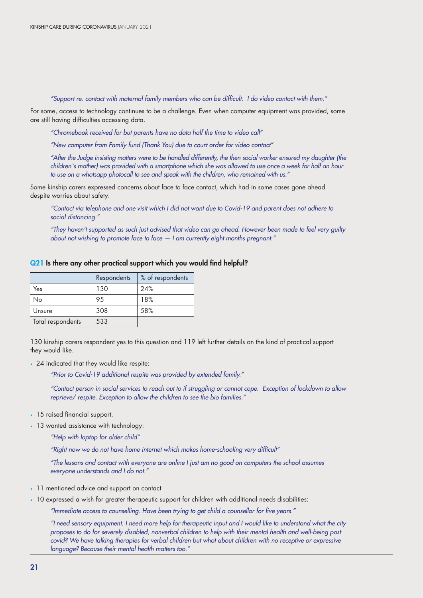*"Support re. contact with maternal family members who can be difficult. I do video contact with them."*

For some, access to technology continues to be a challenge. Even when computer equipment was provided, some are still having difficulties accessing data.

*"Chromebook received for but parents have no data half the time to video call"*

*"New computer from Family fund (Thank You) due to court order for video contact"*

*"After the Judge insisting matters were to be handled differently, the then social worker ensured my daughter (the children`s mother) was provided with a smartphone which she was allowed to use once a week for half an hour to use on a whatsapp photocall to see and speak with the children, who remained with us."*

Some kinship carers expressed concerns about face to face contact, which had in some cases gone ahead despite worries about safety:

*"Contact via telephone and one visit which I did not want due to Covid-19 and parent does not adhere to social distancing."*

*"They haven't supported as such just advised that video can go ahead. However been made to feel very guilty about not wishing to promote face to face — I am currently eight months pregnant."*

#### Q21 Is there any other practical support which you would find helpful?

|                   | Respondents | % of respondents |
|-------------------|-------------|------------------|
| Yes               | 130         | 24%              |
| No                | 95          | 18%              |
| Unsure            | 308         | 58%              |
| Total respondents | 533         |                  |

130 kinship carers respondent yes to this question and 119 left further details on the kind of practical support they would like.

• 24 indicated that they would like respite:

*"Prior to Covid-19 additional respite was provided by extended family."*

*"Contact person in social services to reach out to if struggling or cannot cope. Exception of lockdown to allow reprieve/ respite. Exception to allow the children to see the bio families."*

- 15 raised financial support.
- 13 wanted assistance with technology:
	- *"Help with laptop for older child"*

*"Right now we do not have home internet which makes home-schooling very difficult"*

*"The lessons and contact with everyone are online I just am no good on computers the school assumes everyone understands and I do not."*

- 11 mentioned advice and support on contact
- 10 expressed a wish for greater therapeutic support for children with additional needs disabilities:

*"Immediate access to counselling. Have been trying to get child a counsellor for five years."*

*"I need sensory equipment. I need more help for therapeutic input and I would like to understand what the city proposes to do for severely disabled, nonverbal children to help with their mental health and well-being post covid? We have talking therapies for verbal children but what about children with no receptive or expressive language? Because their mental health matters too."*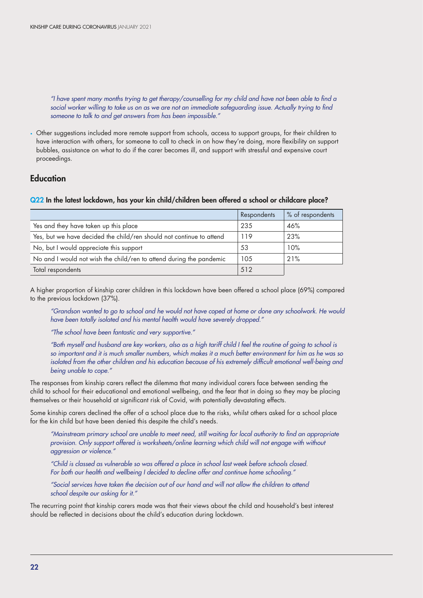*"I have spent many months trying to get therapy/counselling for my child and have not been able to find a*  social worker willing to take us on as we are not an immediate safeguarding issue. Actually trying to find *someone to talk to and get answers from has been impossible."*

• Other suggestions included more remote support from schools, access to support groups, for their children to have interaction with others, for someone to call to check in on how they're doing, more flexibility on support bubbles, assistance on what to do if the carer becomes ill, and support with stressful and expensive court proceedings.

### Education

#### Q22 In the latest lockdown, has your kin child/children been offered a school or childcare place?

|                                                                      | Respondents | % of respondents |
|----------------------------------------------------------------------|-------------|------------------|
| Yes and they have taken up this place                                | 235         | 46%              |
| Yes, but we have decided the child/ren should not continue to attend | 119         | 23%              |
| No, but I would appreciate this support                              | 53          | 10%              |
| No and I would not wish the child/ren to attend during the pandemic  | 105         | 21%              |
| Total respondents                                                    | 512         |                  |

A higher proportion of kinship carer children in this lockdown have been offered a school place (69%) compared to the previous lockdown (37%).

*"Grandson wanted to go to school and he would not have coped at home or done any schoolwork. He would have been totally isolated and his mental health would have severely dropped."*

*"The school have been fantastic and very supportive."*

*"Both myself and husband are key workers, also as a high tariff child I feel the routine of going to school is so important and it is much smaller numbers, which makes it a much better environment for him as he was so isolated from the other children and his education because of his extremely difficult emotional well-being and being unable to cope."* 

The responses from kinship carers reflect the dilemma that many individual carers face between sending the child to school for their educational and emotional wellbeing, and the fear that in doing so they may be placing themselves or their household at significant risk of Covid, with potentially devastating effects.

Some kinship carers declined the offer of a school place due to the risks, whilst others asked for a school place for the kin child but have been denied this despite the child's needs.

*"Mainstream primary school are unable to meet need, still waiting for local authority to find an appropriate provision. Only support offered is worksheets/online learning which child will not engage with without aggression or violence."*

*"Child is classed as vulnerable so was offered a place in school last week before schools closed. For both our health and wellbeing I decided to decline offer and continue home schooling."*

*"Social services have taken the decision out of our hand and will not allow the children to attend school despite our asking for it."*

The recurring point that kinship carers made was that their views about the child and household's best interest should be reflected in decisions about the child's education during lockdown.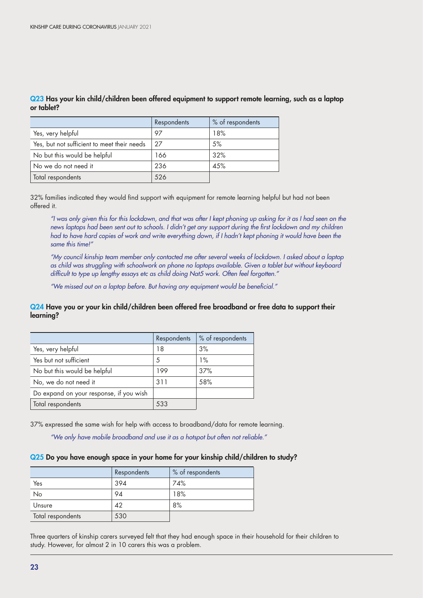|                                             | Respondents | % of respondents |
|---------------------------------------------|-------------|------------------|
| Yes, very helpful                           | 97          | 18%              |
| Yes, but not sufficient to meet their needs | 27          | 5%               |
| No but this would be helpful                | 166         | 32%              |
| No we do not need it                        | 236         | 45%              |
| Total respondents                           | 526         |                  |

Q23 Has your kin child/children been offered equipment to support remote learning, such as a laptop or tablet?

32% families indicated they would find support with equipment for remote learning helpful but had not been offered it.

*"I was only given this for this lockdown, and that was after I kept phoning up asking for it as I had seen on the news laptops had been sent out to schools. I didn't get any support during the first lockdown and my children had to have hard copies of work and write everything down, if I hadn't kept phoning it would have been the same this time!"*

*"My council kinship team member only contacted me after several weeks of lockdown. I asked about a laptop as child was struggling with schoolwork on phone no laptops available. Given a tablet but without keyboard difficult to type up lengthy essays etc as child doing Nat5 work. Often feel forgotten."*

*"We missed out on a laptop before. But having any equipment would be beneficial."* 

#### Q24 Have you or your kin child/children been offered free broadband or free data to support their learning?

|                                         | Respondents | % of respondents |
|-----------------------------------------|-------------|------------------|
| Yes, very helpful                       | 18          | 3%               |
| Yes but not sufficient                  | .5          | $1\%$            |
| No but this would be helpful            | 199         | 37%              |
| No, we do not need it                   | 311         | 58%              |
| Do expand on your response, if you wish |             |                  |
| Total respondents                       | 533         |                  |

37% expressed the same wish for help with access to broadband/data for remote learning.

*"We only have mobile broadband and use it as a hotspot but often not reliable."*

#### Q25 Do you have enough space in your home for your kinship child/children to study?

|                   | Respondents | % of respondents |
|-------------------|-------------|------------------|
| Yes               | 394         | 74%              |
| No                | 94          | 18%              |
| Unsure            | 42          | 8%               |
| Total respondents | 530         |                  |

Three quarters of kinship carers surveyed felt that they had enough space in their household for their children to study. However, for almost 2 in 10 carers this was a problem.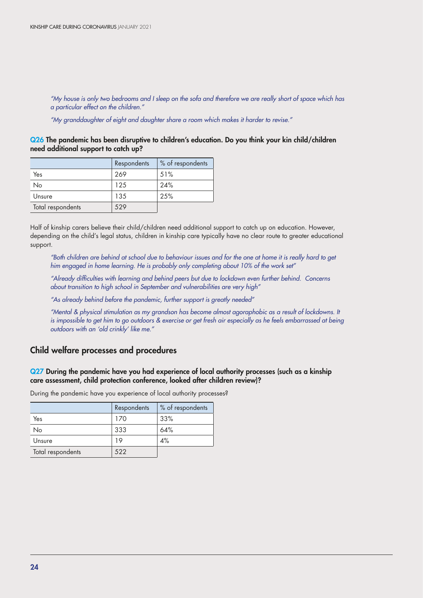*"My house is only two bedrooms and I sleep on the sofa and therefore we are really short of space which has a particular effect on the children."*

*"My granddaughter of eight and daughter share a room which makes it harder to revise."*

Q26 The pandemic has been disruptive to children's education. Do you think your kin child/children need additional support to catch up?

|                   | Respondents | % of respondents |
|-------------------|-------------|------------------|
| Yes               | 269         | 51%              |
| No                | 125         | 24%              |
| Unsure            | 135         | 25%              |
| Total respondents | 529         |                  |

Half of kinship carers believe their child/children need additional support to catch up on education. However, depending on the child's legal status, children in kinship care typically have no clear route to greater educational support.

*"Both children are behind at school due to behaviour issues and for the one at home it is really hard to get him engaged in home learning. He is probably only completing about 10% of the work set"*

*"Already difficulties with learning and behind peers but due to lockdown even further behind. Concerns about transition to high school in September and vulnerabilities are very high"*

*"As already behind before the pandemic, further support is greatly needed"*

*"Mental & physical stimulation as my grandson has become almost agoraphobic as a result of lockdowns. It is impossible to get him to go outdoors & exercise or get fresh air especially as he feels embarrassed at being outdoors with an 'old crinkly' like me."*

#### Child welfare processes and procedures

#### Q27 During the pandemic have you had experience of local authority processes (such as a kinship care assessment, child protection conference, looked after children review)?

During the pandemic have you experience of local authority processes?

|                   | Respondents | % of respondents |
|-------------------|-------------|------------------|
| Yes               | 170         | 33%              |
| No                | 333         | 64%              |
| Unsure            | 19          | 4%               |
| Total respondents | 522         |                  |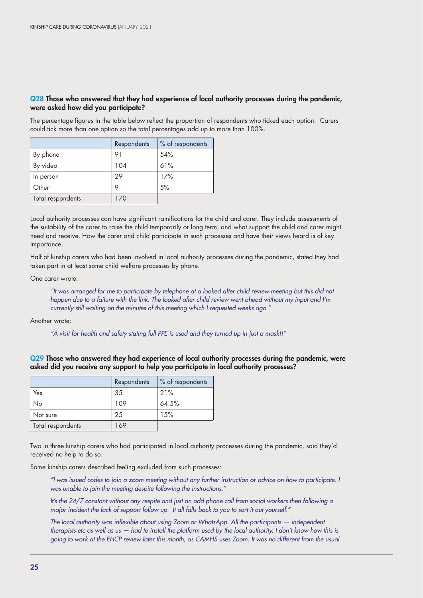#### Q28 Those who answered that they had experience of local authority processes during the pandemic, were asked how did you participate?

The percentage figures in the table below reflect the proportion of respondents who ticked each option. Carers could tick more than one option so the total percentages add up to more than 100%.

|                   | Respondents | % of respondents |
|-------------------|-------------|------------------|
| By phone          | 91          | 54%              |
| By video          | 104         | 61%              |
| In person         | 29          | 17%              |
| Other             | 9           | .5%              |
| Total respondents | 170         |                  |

Local authority processes can have significant ramifications for the child and carer. They include assessments of the suitability of the carer to raise the child temporarily or long term, and what support the child and carer might need and receive. How the carer and child participate in such processes and have their views heard is of key importance.

Half of kinship carers who had been involved in local authority processes during the pandemic, stated they had taken part in at least some child welfare processes by phone.

One carer wrote:

*"It was arranged for me to participate by telephone at a looked after child review meeting but this did not happen due to a failure with the link. The looked after child review went ahead without my input and I'm currently still waiting on the minutes of this meeting which I requested weeks ago."*

Another wrote:

*"A visit for health and safety stating full PPE is used and they turned up in just a mask!!"* 

Q29 Those who answered they had experience of local authority processes during the pandemic, were asked did you receive any support to help you participate in local authority processes?

|                   | Respondents | % of respondents |
|-------------------|-------------|------------------|
| Yes               | 35          | 21%              |
| No                | 109         | 64.5%            |
| Not sure          | 25          | 1.5%             |
| Total respondents | 169         |                  |

Two in three kinship carers who had participated in local authority processes during the pandemic, said they'd received no help to do so.

Some kinship carers described feeling excluded from such processes:

*"I was issued codes to join a zoom meeting without any further instruction or advice on how to participate. I was unable to join the meeting despite following the instructions."*

*It's the 24/7 constant without any respite and just an odd phone call from social workers then following a major incident the lack of support follow up. It all falls back to you to sort it out yourself."*

*The local authority was inflexible about using Zoom or WhatsApp. All the participants — independent therapists etc as well as us — had to install the platform used by the local authority. I don't know how this is going to work at the EHCP review later this month, as CAMHS uses Zoom. It was no different from the usual*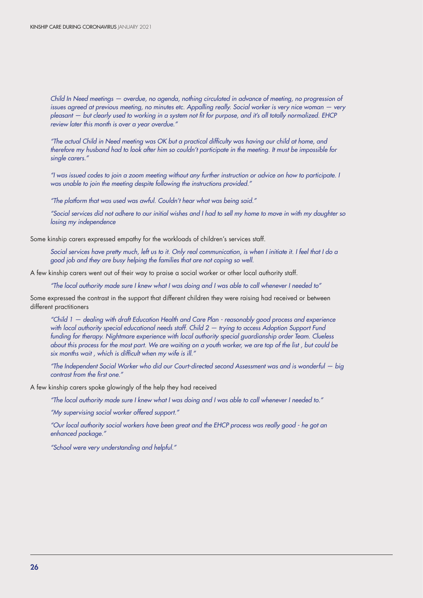*Child In Need meetings — overdue, no agenda, nothing circulated in advance of meeting, no progression of issues agreed at previous meeting, no minutes etc. Appalling really. Social worker is very nice woman – very pleasant — but clearly used to working in a system not fit for purpose, and it's all totally normalized. EHCP review later this month is over a year overdue."* 

*"The actual Child in Need meeting was OK but a practical difficulty was having our child at home, and therefore my husband had to look after him so couldn't participate in the meeting. It must be impossible for single carers."*

*"I was issued codes to join a zoom meeting without any further instruction or advice on how to participate. I was unable to join the meeting despite following the instructions provided."*

*"The platform that was used was awful. Couldn't hear what was being said."*

*"Social services did not adhere to our initial wishes and I had to sell my home to move in with my daughter so losing my independence*

Some kinship carers expressed empathy for the workloads of children's services staff.

*Social services have pretty much, left us to it. Only real communication, is when I initiate it. I feel that I do a good job and they are busy helping the families that are not coping so well.* 

A few kinship carers went out of their way to praise a social worker or other local authority staff.

*"The local authority made sure I knew what I was doing and I was able to call whenever I needed to"*

Some expressed the contrast in the support that different children they were raising had received or between different practitioners

*"Child 1 — dealing with draft Education Health and Care Plan - reasonably good process and experience with local authority special educational needs staff. Child 2 — trying to access Adoption Support Fund funding for therapy. Nightmare experience with local authority special guardianship order Team. Clueless about this process for the most part. We are waiting on a youth worker, we are top of the list , but could be six months wait , which is difficult when my wife is ill."*

*"The Independent Social Worker who did our Court-directed second Assessment was and is wonderful — big contrast from the first one."*

A few kinship carers spoke glowingly of the help they had received

*"The local authority made sure I knew what I was doing and I was able to call whenever I needed to."*

*"My supervising social worker offered support."* 

*"Our local authority social workers have been great and the EHCP process was really good - he got an enhanced package."*

*"School were very understanding and helpful."*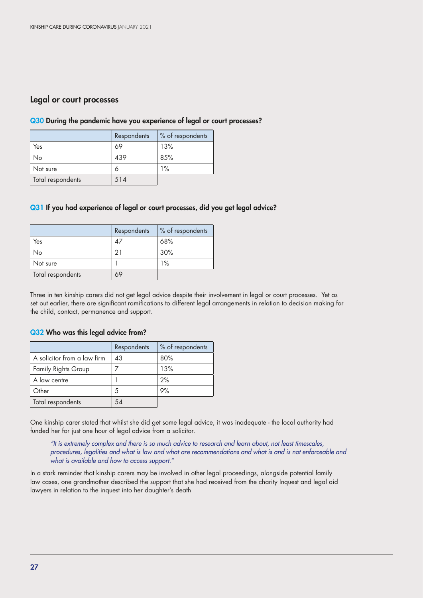### Legal or court processes

|                   | Respondents | % of respondents |
|-------------------|-------------|------------------|
| Yes               | 69          | 13%              |
| No                | 439         | 85%              |
| Not sure          | 6           | 1%               |
| Total respondents | 514         |                  |

#### Q30 During the pandemic have you experience of legal or court processes?

#### Q31 If you had experience of legal or court processes, did you get legal advice?

|                   | Respondents | % of respondents |
|-------------------|-------------|------------------|
| Yes               | 47          | 68%              |
| No                | 21          | 30%              |
| Not sure          |             | 1%               |
| Total respondents | 69          |                  |

Three in ten kinship carers did not get legal advice despite their involvement in legal or court processes. Yet as set out earlier, there are significant ramifications to different legal arrangements in relation to decision making for the child, contact, permanence and support.

# Q32 Who was this legal advice from?

|                             | Respondents | % of respondents |
|-----------------------------|-------------|------------------|
| A solicitor from a law firm | 43          | 80%              |
| <b>Family Rights Group</b>  |             | 13%              |
| A law centre                |             | 2%               |
| Other                       | 5           | 9%               |
| Total respondents           | 54          |                  |

One kinship carer stated that whilst she did get some legal advice, it was inadequate - the local authority had funded her for just one hour of legal advice from a solicitor.

*"It is extremely complex and there is so much advice to research and learn about, not least timescales, procedures, legalities and what is law and what are recommendations and what is and is not enforceable and what is available and how to access support."*

In a stark reminder that kinship carers may be involved in other legal proceedings, alongside potential family law cases, one grandmother described the support that she had received from the charity Inquest and legal aid lawyers in relation to the inquest into her daughter's death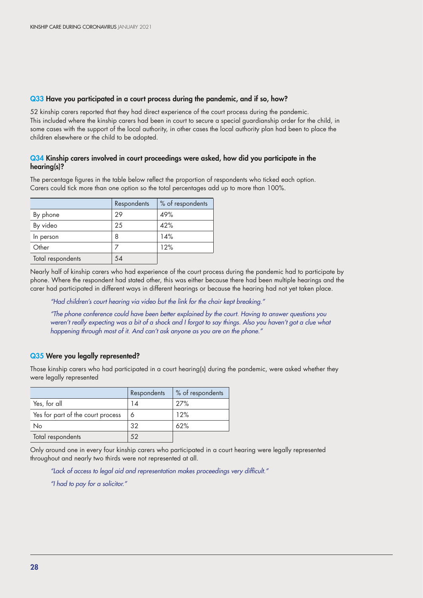#### Q33 Have you participated in a court process during the pandemic, and if so, how?

52 kinship carers reported that they had direct experience of the court process during the pandemic. This included where the kinship carers had been in court to secure a special guardianship order for the child, in some cases with the support of the local authority, in other cases the local authority plan had been to place the children elsewhere or the child to be adopted.

#### Q34 Kinship carers involved in court proceedings were asked, how did you participate in the hearing(s)?

The percentage figures in the table below reflect the proportion of respondents who ticked each option. Carers could tick more than one option so the total percentages add up to more than 100%.

|                   | <b>Respondents</b> | % of respondents |
|-------------------|--------------------|------------------|
| By phone          | 29                 | 49%              |
| By video          | 25                 | 42%              |
| In person         | 8                  | 14%              |
| Other             |                    | 12%              |
| Total respondents | 54                 |                  |

Nearly half of kinship carers who had experience of the court process during the pandemic had to participate by phone. Where the respondent had stated other, this was either because there had been multiple hearings and the carer had participated in different ways in different hearings or because the hearing had not yet taken place.

*"Had children's court hearing via video but the link for the chair kept breaking."*

*"The phone conference could have been better explained by the court. Having to answer questions you weren't really expecting was a bit of a shock and I forgot to say things. Also you haven't got a clue what happening through most of it. And can't ask anyone as you are on the phone."*

#### Q35 Were you legally represented?

Those kinship carers who had participated in a court hearing(s) during the pandemic, were asked whether they were legally represented

|                                   | Respondents | % of respondents |
|-----------------------------------|-------------|------------------|
| Yes, for all                      | 14          | 27%              |
| Yes for part of the court process | 6           | 12%              |
| No                                | 32          | 62%              |
| Total respondents                 |             |                  |

Only around one in every four kinship carers who participated in a court hearing were legally represented throughout and nearly two thirds were not represented at all.

*"Lack of access to legal aid and representation makes proceedings very difficult."*

*"I had to pay for a solicitor."*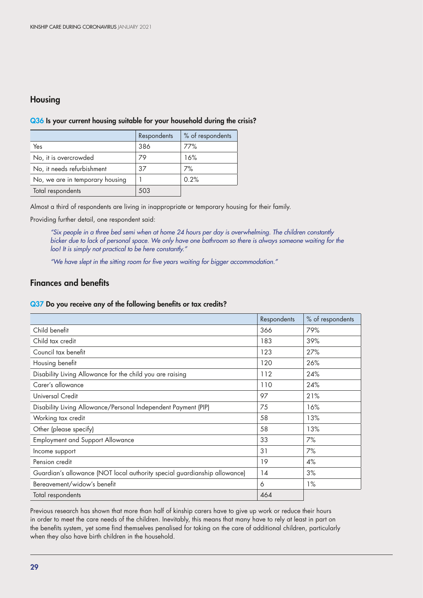# Housing

# Respondents \% of respondents Yes 386 77% No, it is overcrowded 79 16% No, it needs refurbishment  $\begin{array}{|c|c|c|c|c|} \hline 37 & 37 \end{array}$  7% No, we are in temporary housing  $\begin{vmatrix} 1 & 0.2\% \end{vmatrix}$ Total respondents 503

#### Q36 Is your current housing suitable for your household during the crisis?

Almost a third of respondents are living in inappropriate or temporary housing for their family.

Providing further detail, one respondent said:

*"Six people in a three bed semi when at home 24 hours per day is overwhelming. The children constantly bicker due to lack of personal space. We only have one bathroom so there is always someone waiting for the loo! It is simply not practical to be here constantly."*

*"We have slept in the sitting room for five years waiting for bigger accommodation."*

### Finances and benefits

#### Q37 Do you receive any of the following benefits or tax credits?

|                                                                           | Respondents | % of respondents |
|---------------------------------------------------------------------------|-------------|------------------|
| Child benefit                                                             | 366         | 79%              |
| Child tax credit                                                          | 183         | 39%              |
| Council tax benefit                                                       | 123         | 27%              |
| Housing benefit                                                           | 120         | 26%              |
| Disability Living Allowance for the child you are raising                 | 112         | 24%              |
| Carer's allowance                                                         | 110         | 24%              |
| Universal Credit                                                          | 97          | 21%              |
| Disability Living Allowance/Personal Independent Payment (PIP)            | 75          | 16%              |
| Working tax credit                                                        | 58          | 13%              |
| Other (please specify)                                                    | 58          | 13%              |
| <b>Employment and Support Allowance</b>                                   | 33          | 7%               |
| Income support                                                            | 31          | 7%               |
| Pension credit                                                            | 19          | 4%               |
| Guardian's allowance (NOT local authority special guardianship allowance) | 14          | 3%               |
| Bereavement/widow's benefit                                               | 6           | 1%               |
| Total respondents                                                         | 464         |                  |

Previous research has shown that more than half of kinship carers have to give up work or reduce their hours in order to meet the care needs of the children. Inevitably, this means that many have to rely at least in part on the benefits system, yet some find themselves penalised for taking on the care of additional children, particularly when they also have birth children in the household.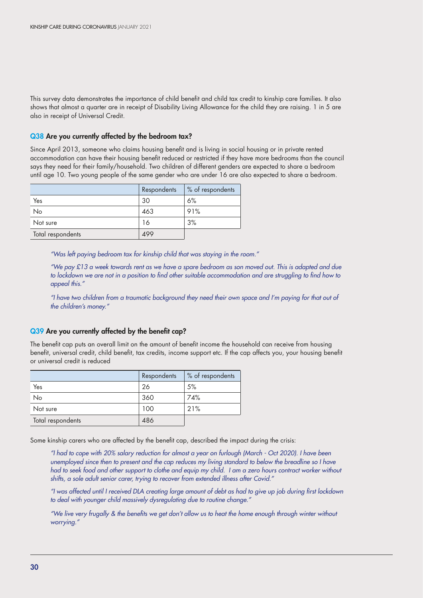This survey data demonstrates the importance of child benefit and child tax credit to kinship care families. It also shows that almost a quarter are in receipt of Disability Living Allowance for the child they are raising. 1 in 5 are also in receipt of Universal Credit.

#### Q38 Are you currently affected by the bedroom tax?

Since April 2013, someone who claims housing benefit and is living in social housing or in private rented accommodation can have their housing benefit reduced or restricted if they have more bedrooms than the council says they need for their family/household. Two children of different genders are expected to share a bedroom until age 10. Two young people of the same gender who are under 16 are also expected to share a bedroom.

|                   | Respondents | % of respondents |
|-------------------|-------------|------------------|
| Yes               | 30          | 6%               |
| No                | 463         | 91%              |
| Not sure          | 16          | 3%               |
| Total respondents | 499         |                  |

*"Was left paying bedroom tax for kinship child that was staying in the room."*

*"We pay £13 a week towards rent as we have a spare bedroom as son moved out. This is adapted and due*  to lockdown we are not in a position to find other suitable accommodation and are struggling to find how to *appeal this."*

*"I have two children from a traumatic background they need their own space and I'm paying for that out of the children's money."*

#### Q39 Are you currently affected by the benefit cap?

The benefit cap puts an overall limit on the amount of benefit income the household can receive from housing benefit, universal credit, child benefit, tax credits, income support etc. If the cap affects you, your housing benefit or universal credit is reduced

|                   | Respondents | % of respondents |
|-------------------|-------------|------------------|
| Yes               | 26          | 5%               |
| No                | 360         | 74%              |
| Not sure          | 100         | 21%              |
| Total respondents | 486         |                  |

Some kinship carers who are affected by the benefit cap, described the impact during the crisis:

*"I had to cope with 20% salary reduction for almost a year on furlough (March - Oct 2020). I have been unemployed since then to present and the cap reduces my living standard to below the breadline so I have had to seek food and other support to clothe and equip my child. I am a zero hours contract worker without shifts, a sole adult senior carer, trying to recover from extended illness after Covid."*

*"I was affected until I received DLA creating large amount of debt as had to give up job during first lockdown to deal with younger child massively dysregulating due to routine change."*

*"We live very frugally & the benefits we get don't allow us to heat the home enough through winter without worrying."*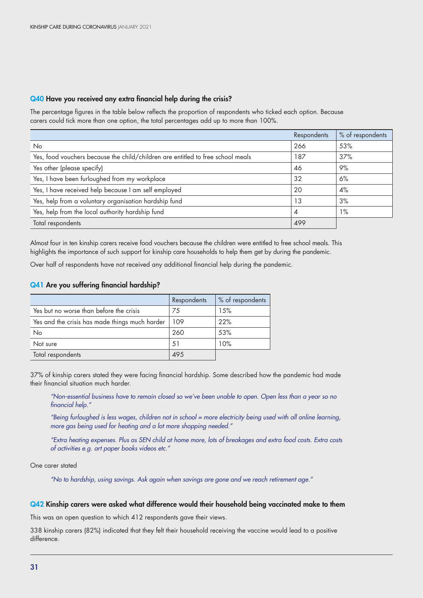#### Q40 Have you received any extra financial help during the crisis?

The percentage figures in the table below reflects the proportion of respondents who ticked each option. Because carers could tick more than one option, the total percentages add up to more than 100%.

|                                                                                 | Respondents | % of respondents |
|---------------------------------------------------------------------------------|-------------|------------------|
| <b>No</b>                                                                       | 266         | 53%              |
| Yes, food vouchers because the child/children are entitled to free school meals | 187         | 37%              |
| Yes other (please specify)                                                      | 46          | 9%               |
| Yes, I have been furloughed from my workplace                                   | 32          | 6%               |
| Yes, I have received help because I am self employed                            | 20          | 4%               |
| Yes, help from a voluntary organisation hardship fund                           | 13          | 3%               |
| Yes, help from the local authority hardship fund                                | 4           | $1\%$            |
| Total respondents                                                               | 499         |                  |

Almost four in ten kinship carers receive food vouchers because the children were entitled to free school meals. This highlights the importance of such support for kinship care households to help them get by during the pandemic.

Over half of respondents have not received any additional financial help during the pandemic.

#### Q41 Are you suffering financial hardship?

|                                                | Respondents | % of respondents |
|------------------------------------------------|-------------|------------------|
| Yes but no worse than before the crisis        | 75          | 15%              |
| Yes and the crisis has made things much harder | 109         | 22%              |
| No                                             | 260         | 53%              |
| Not sure                                       | .51         | 10%              |
| Total respondents                              | 495         |                  |

37% of kinship carers stated they were facing financial hardship. Some described how the pandemic had made their financial situation much harder.

*"Non-essential business have to remain closed so we've been unable to open. Open less than a year so no financial help."*

*"Being furloughed is less wages, children not in school = more electricity being used with all online learning, more gas being used for heating and a lot more shopping needed."*

*"Extra heating expenses. Plus as SEN child at home more, lots of breakages and extra food costs. Extra costs of activities e.g. art paper books videos etc."*

#### One carer stated

*"No to hardship, using savings. Ask again when savings are gone and we reach retirement age."*

#### Q42 Kinship carers were asked what difference would their household being vaccinated make to them

This was an open question to which 412 respondents gave their views.

338 kinship carers (82%) indicated that they felt their household receiving the vaccine would lead to a positive difference.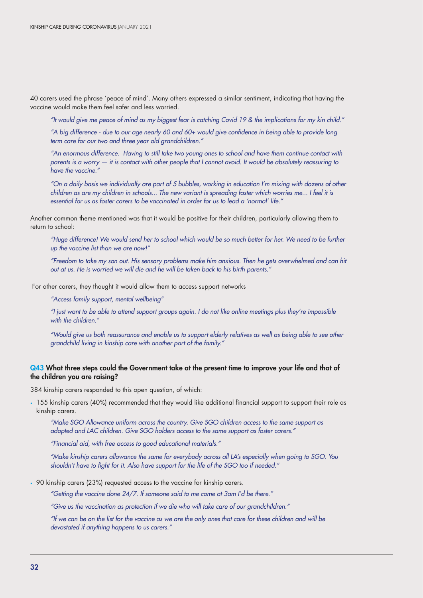40 carers used the phrase 'peace of mind'. Many others expressed a similar sentiment, indicating that having the vaccine would make them feel safer and less worried.

*"It would give me peace of mind as my biggest fear is catching Covid 19 & the implications for my kin child."*

*"A big difference - due to our age nearly 60 and 60+ would give confidence in being able to provide long term care for our two and three year old grandchildren."*

*"An enormous difference. Having to still take two young ones to school and have them continue contact with parents is a worry — it is contact with other people that I cannot avoid. It would be absolutely reassuring to have the vaccine."*

*"On a daily basis we individually are part of 5 bubbles, working in education I'm mixing with dozens of other children as are my children in schools... The new variant is spreading faster which worries me... I feel it is essential for us as foster carers to be vaccinated in order for us to lead a 'normal' life."*

Another common theme mentioned was that it would be positive for their children, particularly allowing them to return to school:

*"Huge difference! We would send her to school which would be so much better for her. We need to be further up the vaccine list than we are now!"*

*"Freedom to take my son out. His sensory problems make him anxious. Then he gets overwhelmed and can hit out at us. He is worried we will die and he will be taken back to his birth parents."*

For other carers, they thought it would allow them to access support networks

*"Access family support, mental wellbeing"*

*"I just want to be able to attend support groups again. I do not like online meetings plus they're impossible with the children."*

*"Would give us both reassurance and enable us to support elderly relatives as well as being able to see other grandchild living in kinship care with another part of the family."*

#### Q43 What three steps could the Government take at the present time to improve your life and that of the children you are raising?

384 kinship carers responded to this open question, of which:

• 155 kinship carers (40%) recommended that they would like additional financial support to support their role as kinship carers.

*"Make SGO Allowance uniform across the country. Give SGO children access to the same support as adopted and LAC children. Give SGO holders access to the same support as foster carers."*

*"Financial aid, with free access to good educational materials."*

*"Make kinship carers allowance the same for everybody across all LA's especially when going to SGO. You shouldn't have to fight for it. Also have support for the life of the SGO too if needed."*

• 90 kinship carers (23%) requested access to the vaccine for kinship carers.

*"Getting the vaccine done 24/7. If someone said to me come at 3am I'd be there."*

*"Give us the vaccination as protection if we die who will take care of our grandchildren."*

*"If we can be on the list for the vaccine as we are the only ones that care for these children and will be devastated if anything happens to us carers."*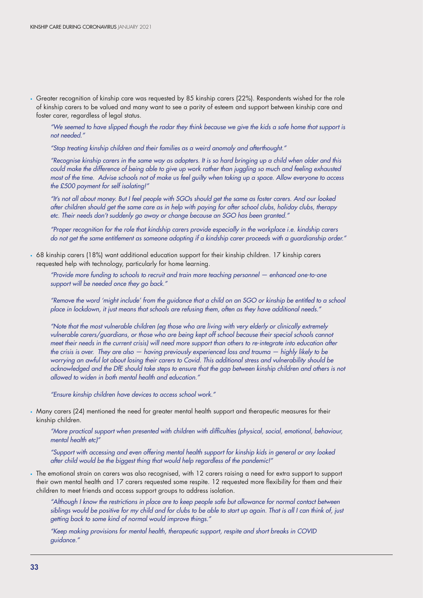• Greater recognition of kinship care was requested by 85 kinship carers (22%). Respondents wished for the role of kinship carers to be valued and many want to see a parity of esteem and support between kinship care and foster carer, regardless of legal status.

*"We seemed to have slipped though the radar they think because we give the kids a safe home that support is not needed."*

*"Stop treating kinship children and their families as a weird anomaly and afterthought."*

*"Recognise kinship carers in the same way as adopters. It is so hard bringing up a child when older and this could make the difference of being able to give up work rather than juggling so much and feeling exhausted most of the time. Advise schools not of make us feel guilty when taking up a space. Allow everyone to access the £500 payment for self isolating!"*

*"It's not all about money. But I feel people with SGOs should get the same as foster carers. And our looked after children should get the same care as in help with paying for after school clubs, holiday clubs, therapy etc. Their needs don't suddenly go away or change because an SGO has been granted."*

*"Proper recognition for the role that kindship carers provide especially in the workplace i.e. kindship carers do not get the same entitlement as someone adopting if a kindship carer proceeds with a guardianship order."*

• 68 kinship carers (18%) want additional education support for their kinship children. 17 kinship carers requested help with technology, particularly for home learning.

*"Provide more funding to schools to recruit and train more teaching personnel — enhanced one-to-one support will be needed once they go back."*

*"Remove the word 'might include' from the guidance that a child on an SGO or kinship be entitled to a school place in lockdown, it just means that schools are refusing them, often as they have additional needs."*

*"Note that the most vulnerable children (eg those who are living with very elderly or clinically extremely vulnerable carers/guardians, or those who are being kept off school because their special schools cannot meet their needs in the current crisis) will need more support than others to re-integrate into education after the crisis is over. They are also — having previously experienced loss and trauma — highly likely to be worrying an awful lot about losing their carers to Covid. This additional stress and vulnerability should be acknowledged and the DfE should take steps to ensure that the gap between kinship children and others is not allowed to widen in both mental health and education."*

*"Ensure kinship children have devices to access school work."*

• Many carers (24) mentioned the need for greater mental health support and therapeutic measures for their kinship children.

*"More practical support when presented with children with difficulties (physical, social, emotional, behaviour, mental health etc)"*

*"Support with accessing and even offering mental health support for kinship kids in general or any looked after child would be the biggest thing that would help regardless of the pandemic!"*

• The emotional strain on carers was also recognised, with 12 carers raising a need for extra support to support their own mental health and 17 carers requested some respite. 12 requested more flexibility for them and their children to meet friends and access support groups to address isolation.

*"Although I know the restrictions in place are to keep people safe but allowance for normal contact between siblings would be positive for my child and for clubs to be able to start up again. That is all I can think of, just getting back to some kind of normal would improve things."*

*"Keep making provisions for mental health, therapeutic support, respite and short breaks in COVID guidance."*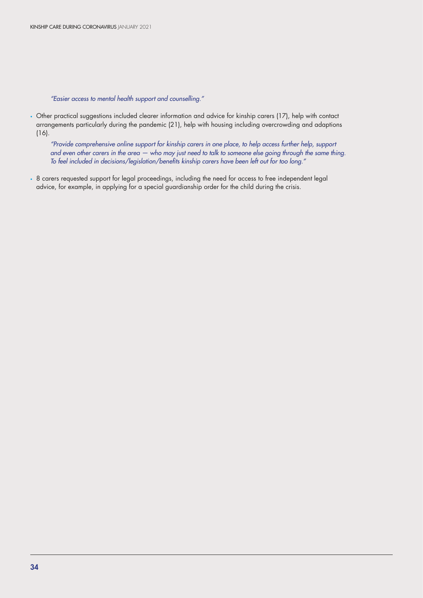*"Easier access to mental health support and counselling."*

• Other practical suggestions included clearer information and advice for kinship carers (17), help with contact arrangements particularly during the pandemic (21), help with housing including overcrowding and adaptions (16).

*"Provide comprehensive online support for kinship carers in one place, to help access further help, support and even other carers in the area — who may just need to talk to someone else going through the same thing. To feel included in decisions/legislation/benefits kinship carers have been left out for too long."*

• 8 carers requested support for legal proceedings, including the need for access to free independent legal advice, for example, in applying for a special guardianship order for the child during the crisis.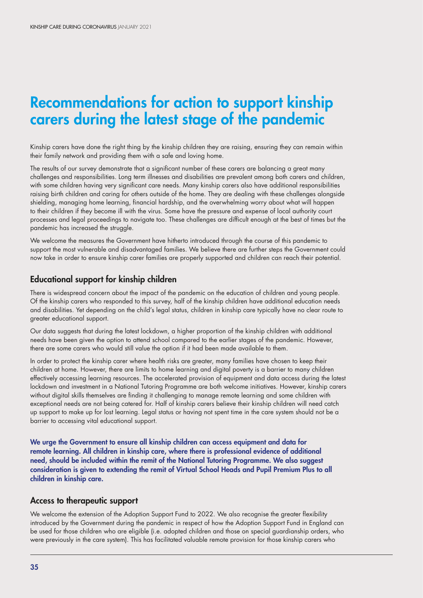# Recommendations for action to support kinship carers during the latest stage of the pandemic

Kinship carers have done the right thing by the kinship children they are raising, ensuring they can remain within their family network and providing them with a safe and loving home.

The results of our survey demonstrate that a significant number of these carers are balancing a great many challenges and responsibilities. Long term illnesses and disabilities are prevalent among both carers and children, with some children having very significant care needs. Many kinship carers also have additional responsibilities raising birth children and caring for others outside of the home. They are dealing with these challenges alongside shielding, managing home learning, financial hardship, and the overwhelming worry about what will happen to their children if they become ill with the virus. Some have the pressure and expense of local authority court processes and legal proceedings to navigate too. These challenges are difficult enough at the best of times but the pandemic has increased the struggle.

We welcome the measures the Government have hitherto introduced through the course of this pandemic to support the most vulnerable and disadvantaged families. We believe there are further steps the Government could now take in order to ensure kinship carer families are properly supported and children can reach their potential.

# Educational support for kinship children

There is widespread concern about the impact of the pandemic on the education of children and young people. Of the kinship carers who responded to this survey, half of the kinship children have additional education needs and disabilities. Yet depending on the child's legal status, children in kinship care typically have no clear route to greater educational support.

Our data suggests that during the latest lockdown, a higher proportion of the kinship children with additional needs have been given the option to attend school compared to the earlier stages of the pandemic. However, there are some carers who would still value the option if it had been made available to them.

In order to protect the kinship carer where health risks are greater, many families have chosen to keep their children at home. However, there are limits to home learning and digital poverty is a barrier to many children effectively accessing learning resources. The accelerated provision of equipment and data access during the latest lockdown and investment in a National Tutoring Programme are both welcome initiatives. However, kinship carers without digital skills themselves are finding it challenging to manage remote learning and some children with exceptional needs are not being catered for. Half of kinship carers believe their kinship children will need catch up support to make up for lost learning. Legal status or having not spent time in the care system should not be a barrier to accessing vital educational support.

We urge the Government to ensure all kinship children can access equipment and data for remote learning. All children in kinship care, where there is professional evidence of additional need, should be included within the remit of the National Tutoring Programme. We also suggest consideration is given to extending the remit of Virtual School Heads and Pupil Premium Plus to all children in kinship care.

### Access to therapeutic support

We welcome the extension of the Adoption Support Fund to 2022. We also recognise the greater flexibility introduced by the Government during the pandemic in respect of how the Adoption Support Fund in England can be used for those children who are eligible (i.e. adopted children and those on special guardianship orders, who were previously in the care system). This has facilitated valuable remote provision for those kinship carers who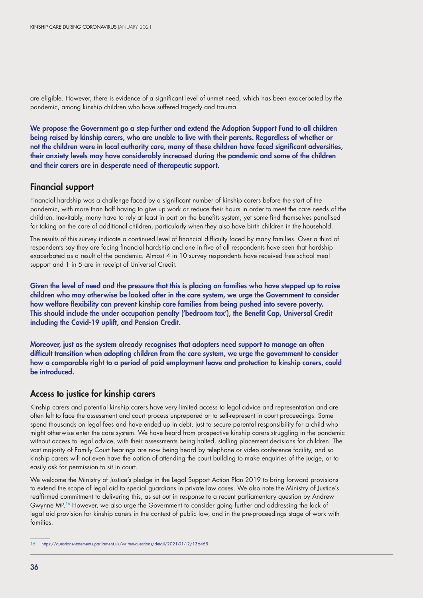are eligible. However, there is evidence of a significant level of unmet need, which has been exacerbated by the pandemic, among kinship children who have suffered tragedy and trauma.

We propose the Government go a step further and extend the Adoption Support Fund to all children being raised by kinship carers, who are unable to live with their parents. Regardless of whether or not the children were in local authority care, many of these children have faced significant adversities, their anxiety levels may have considerably increased during the pandemic and some of the children and their carers are in desperate need of therapeutic support.

# Financial support

Financial hardship was a challenge faced by a significant number of kinship carers before the start of the pandemic, with more than half having to give up work or reduce their hours in order to meet the care needs of the children. Inevitably, many have to rely at least in part on the benefits system, yet some find themselves penalised for taking on the care of additional children, particularly when they also have birth children in the household.

The results of this survey indicate a continued level of financial difficulty faced by many families. Over a third of respondents say they are facing financial hardship and one in five of all respondents have seen that hardship exacerbated as a result of the pandemic. Almost 4 in 10 survey respondents have received free school meal support and 1 in 5 are in receipt of Universal Credit.

Given the level of need and the pressure that this is placing on families who have stepped up to raise children who may otherwise be looked after in the care system, we urge the Government to consider how welfare flexibility can prevent kinship care families from being pushed into severe poverty. This should include the under occupation penalty ('bedroom tax'), the Benefit Cap, Universal Credit including the Covid-19 uplift, and Pension Credit.

Moreover, just as the system already recognises that adopters need support to manage an often difficult transition when adopting children from the care system, we urge the government to consider how a comparable right to a period of paid employment leave and protection to kinship carers, could be introduced.

# Access to justice for kinship carers

Kinship carers and potential kinship carers have very limited access to legal advice and representation and are often left to face the assessment and court process unprepared or to self-represent in court proceedings. Some spend thousands on legal fees and have ended up in debt, just to secure parental responsibility for a child who might otherwise enter the care system. We have heard from prospective kinship carers struggling in the pandemic without access to legal advice, with their assessments being halted, stalling placement decisions for children. The vast majority of Family Court hearings are now being heard by telephone or video conference facility, and so kinship carers will not even have the option of attending the court building to make enquiries of the judge, or to easily ask for permission to sit in court.

We welcome the Ministry of Justice's pledge in the Legal Support Action Plan 2019 to bring forward provisions to extend the scope of legal aid to special guardians in private law cases. We also note the Ministry of Justice's reaffirmed commitment to delivering this, as set out in response to a recent parliamentary question by Andrew Gwynne MP.16 However, we also urge the Government to consider going further and addressing the lack of legal aid provision for kinship carers in the context of public law, and in the pre-proceedings stage of work with families.

<sup>16</sup> https://questions-statements.parliament.uk/written-questions/detail/2021-01-12/136465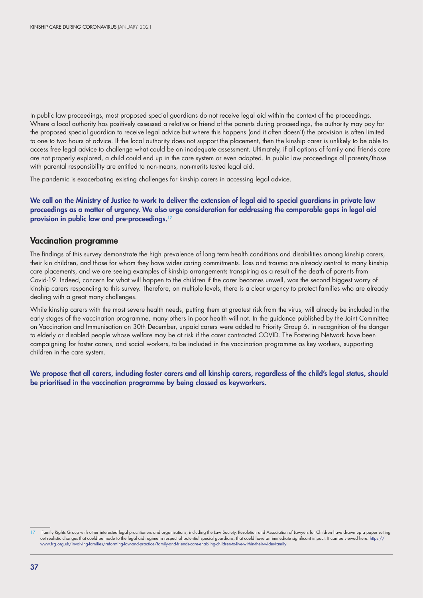In public law proceedings, most proposed special guardians do not receive legal aid within the context of the proceedings. Where a local authority has positively assessed a relative or friend of the parents during proceedings, the authority may pay for the proposed special guardian to receive legal advice but where this happens (and it often doesn't) the provision is often limited to one to two hours of advice. If the local authority does not support the placement, then the kinship carer is unlikely to be able to access free legal advice to challenge what could be an inadequate assessment. Ultimately, if all options of family and friends care are not properly explored, a child could end up in the care system or even adopted. In public law proceedings all parents/those with parental responsibility are entitled to non-means, non-merits tested legal aid.

The pandemic is exacerbating existing challenges for kinship carers in accessing legal advice.

#### We call on the Ministry of Justice to work to deliver the extension of legal aid to special guardians in private law proceedings as a matter of urgency. We also urge consideration for addressing the comparable gaps in legal aid provision in public law and pre-proceedings.<sup>17</sup>

#### Vaccination programme

The findings of this survey demonstrate the high prevalence of long term health conditions and disabilities among kinship carers, their kin children, and those for whom they have wider caring commitments. Loss and trauma are already central to many kinship care placements, and we are seeing examples of kinship arrangements transpiring as a result of the death of parents from Covid-19. Indeed, concern for what will happen to the children if the carer becomes unwell, was the second biggest worry of kinship carers responding to this survey. Therefore, on multiple levels, there is a clear urgency to protect families who are already dealing with a great many challenges.

While kinship carers with the most severe health needs, putting them at greatest risk from the virus, will already be included in the early stages of the vaccination programme, many others in poor health will not. In the guidance published by the Joint Committee on Vaccination and Immunisation on 30th December, unpaid carers were added to Priority Group 6, in recognition of the danger to elderly or disabled people whose welfare may be at risk if the carer contracted COVID. The Fostering Network have been campaigning for foster carers, and social workers, to be included in the vaccination programme as key workers, supporting children in the care system.

We propose that all carers, including foster carers and all kinship carers, regardless of the child's legal status, should be prioritised in the vaccination programme by being classed as keyworkers.

<sup>17</sup> Family Rights Group with other interested legal practitioners and organisations, including the Law Society, Resolution and Association of Lawyers for Children have drawn up a paper setting out realistic changes that could be made to the legal aid regime in respect of potential special guardians, that could have an immediate significant impact. It can be viewed here: https:// www.frg.org.uk/involving-families/reforming-law-and-practice/family-and-friends-care-enabling-children-to-live-within-their-wider-family